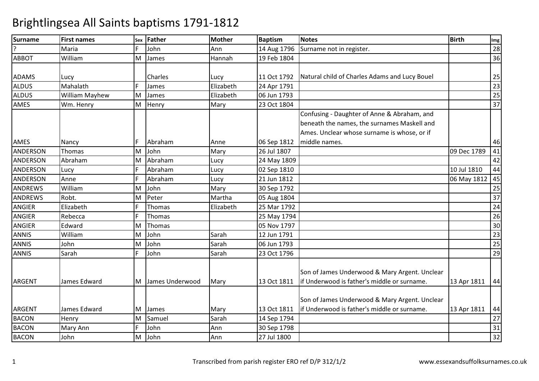| <b>Surname</b>  | <b>First names</b> | Sex | Father          | <b>Mother</b> | <b>Baptism</b> | <b>Notes</b>                                  | <b>Birth</b>   | Img             |
|-----------------|--------------------|-----|-----------------|---------------|----------------|-----------------------------------------------|----------------|-----------------|
| ς               | Maria              | F.  | John            | Ann           | 14 Aug 1796    | Surname not in register.                      |                | 28              |
| <b>ABBOT</b>    | William            | M   | James           | Hannah        | 19 Feb 1804    |                                               |                | 36              |
|                 |                    |     |                 |               |                |                                               |                |                 |
| <b>ADAMS</b>    | Lucy               |     | <b>Charles</b>  | Lucy          | 11 Oct 1792    | Natural child of Charles Adams and Lucy Bouel |                | 25              |
| <b>ALDUS</b>    | Mahalath           | F.  | James           | Elizabeth     | 24 Apr 1791    |                                               |                | $\overline{23}$ |
| <b>ALDUS</b>    | William Mayhew     | M   | James           | Elizabeth     | 06 Jun 1793    |                                               |                | $\overline{25}$ |
| <b>AMES</b>     | Wm. Henry          | M   | Henry           | Mary          | 23 Oct 1804    |                                               |                | $\overline{37}$ |
|                 |                    |     |                 |               |                | Confusing - Daughter of Anne & Abraham, and   |                |                 |
|                 |                    |     |                 |               |                | beneath the names, the surnames Maskell and   |                |                 |
|                 |                    |     |                 |               |                | Ames. Unclear whose surname is whose, or if   |                |                 |
| AMES            | Nancy              | F.  | Abraham         | Anne          | 06 Sep 1812    | middle names.                                 |                | 46              |
| <b>ANDERSON</b> | Thomas             | M   | John            | Mary          | 26 Jul 1807    |                                               | 09 Dec 1789    | 41              |
| <b>ANDERSON</b> | Abraham            | M   | Abraham         | Lucy          | 24 May 1809    |                                               |                | 42              |
| <b>ANDERSON</b> | Lucy               | F.  | Abraham         | Lucy          | 02 Sep 1810    |                                               | 10 Jul 1810    | 44              |
| ANDERSON        | Anne               | F   | Abraham         | Lucy          | 21 Jun 1812    |                                               | 06 May 1812 45 |                 |
| <b>ANDREWS</b>  | William            | M   | John            | Mary          | 30 Sep 1792    |                                               |                | $\overline{25}$ |
| <b>ANDREWS</b>  | Robt.              | M   | Peter           | Martha        | 05 Aug 1804    |                                               |                | 37              |
| <b>ANGIER</b>   | Elizabeth          | F.  | Thomas          | Elizabeth     | 25 Mar 1792    |                                               |                | 24              |
| <b>ANGIER</b>   | Rebecca            | F   | Thomas          |               | 25 May 1794    |                                               |                | 26              |
| <b>ANGIER</b>   | Edward             | M   | Thomas          |               | 05 Nov 1797    |                                               |                | 30              |
| <b>ANNIS</b>    | William            | M   | John            | Sarah         | 12 Jun 1791    |                                               |                | $\overline{23}$ |
| <b>ANNIS</b>    | John               | M   | John            | Sarah         | 06 Jun 1793    |                                               |                | $\overline{25}$ |
| <b>ANNIS</b>    | Sarah              | F.  | John            | Sarah         | 23 Oct 1796    |                                               |                | 29              |
|                 |                    |     |                 |               |                |                                               |                |                 |
|                 |                    |     |                 |               |                | Son of James Underwood & Mary Argent. Unclear |                |                 |
| <b>ARGENT</b>   | James Edward       | M   | James Underwood | Mary          | 13 Oct 1811    | lif Underwood is father's middle or surname.  | 13 Apr 1811    | 44              |
|                 |                    |     |                 |               |                |                                               |                |                 |
|                 |                    |     |                 |               |                | Son of James Underwood & Mary Argent. Unclear |                |                 |
| <b>ARGENT</b>   | James Edward       | M   | James           | Mary          | 13 Oct 1811    | if Underwood is father's middle or surname.   | 13 Apr 1811    | 44              |
| <b>BACON</b>    | Henry              | M   | Samuel          | Sarah         | 14 Sep 1794    |                                               |                | 27              |
| <b>BACON</b>    | Mary Ann           | F.  | John            | Ann           | 30 Sep 1798    |                                               |                | 31              |
| <b>BACON</b>    | John               | M   | John            | Ann           | 27 Jul 1800    |                                               |                | 32              |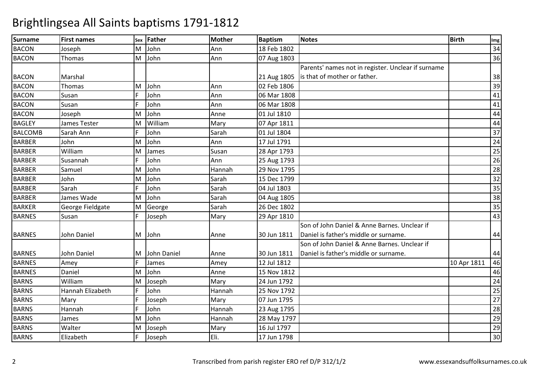| <b>Surname</b> | <b>First names</b> | Sex | <b>Father</b> | <b>Mother</b> | <b>Baptism</b> | <b>Notes</b>                                       | <b>Birth</b> | Img             |
|----------------|--------------------|-----|---------------|---------------|----------------|----------------------------------------------------|--------------|-----------------|
| <b>BACON</b>   | Joseph             | M   | John          | Ann           | 18 Feb 1802    |                                                    |              | 34              |
| <b>BACON</b>   | Thomas             | M   | John          | Ann           | 07 Aug 1803    |                                                    |              | 36              |
|                |                    |     |               |               |                | Parents' names not in register. Unclear if surname |              |                 |
| <b>BACON</b>   | Marshal            |     |               |               | 21 Aug 1805    | is that of mother or father.                       |              | 38              |
| <b>BACON</b>   | Thomas             | M   | John          | Ann           | 02 Feb 1806    |                                                    |              | 39              |
| <b>BACON</b>   | Susan              | F   | John          | Ann           | 06 Mar 1808    |                                                    |              | 41              |
| <b>BACON</b>   | Susan              | F   | John          | Ann           | 06 Mar 1808    |                                                    |              | 41              |
| <b>BACON</b>   | Joseph             | M   | John          | Anne          | 01 Jul 1810    |                                                    |              | 44              |
| <b>BAGLEY</b>  | James Tester       | M   | William       | Mary          | 07 Apr 1811    |                                                    |              | 44              |
| <b>BALCOMB</b> | Sarah Ann          | F   | John          | Sarah         | 01 Jul 1804    |                                                    |              | 37              |
| <b>BARBER</b>  | John               | M   | John          | Ann           | 17 Jul 1791    |                                                    |              | 24              |
| <b>BARBER</b>  | William            | M   | James         | Susan         | 28 Apr 1793    |                                                    |              | $\overline{25}$ |
| <b>BARBER</b>  | Susannah           | F   | John          | Ann           | 25 Aug 1793    |                                                    |              | 26              |
| <b>BARBER</b>  | Samuel             | M   | John          | Hannah        | 29 Nov 1795    |                                                    |              | 28              |
| <b>BARBER</b>  | John               | M   | John          | Sarah         | 15 Dec 1799    |                                                    |              | 32              |
| <b>BARBER</b>  | Sarah              | F   | John          | Sarah         | 04 Jul 1803    |                                                    |              | 35              |
| <b>BARBER</b>  | James Wade         | M   | John          | Sarah         | 04 Aug 1805    |                                                    |              | 38              |
| <b>BARKER</b>  | George Fieldgate   | M   | George        | Sarah         | 26 Dec 1802    |                                                    |              | 35              |
| <b>BARNES</b>  | Susan              |     | Joseph        | Mary          | 29 Apr 1810    |                                                    |              | 43              |
|                |                    |     |               |               |                | Son of John Daniel & Anne Barnes. Unclear if       |              |                 |
| <b>BARNES</b>  | John Daniel        | M   | John          | Anne          | 30 Jun 1811    | Daniel is father's middle or surname.              |              | 44              |
|                |                    |     |               |               |                | Son of John Daniel & Anne Barnes. Unclear if       |              |                 |
| <b>BARNES</b>  | John Daniel        | M   | John Daniel   | Anne          | 30 Jun 1811    | Daniel is father's middle or surname.              |              | 44              |
| <b>BARNES</b>  | Amey               | F   | James         | Amey          | 12 Jul 1812    |                                                    | 10 Apr 1811  | 46              |
| <b>BARNES</b>  | Daniel             | M   | John          | Anne          | 15 Nov 1812    |                                                    |              | 46              |
| <b>BARNS</b>   | William            | M   | Joseph        | Mary          | 24 Jun 1792    |                                                    |              | 24              |
| <b>BARNS</b>   | Hannah Elizabeth   |     | John          | Hannah        | 25 Nov 1792    |                                                    |              | $\overline{25}$ |
| <b>BARNS</b>   | Mary               | F.  | Joseph        | Mary          | 07 Jun 1795    |                                                    |              | $\overline{27}$ |
| <b>BARNS</b>   | Hannah             | F   | John          | Hannah        | 23 Aug 1795    |                                                    |              | 28              |
| <b>BARNS</b>   | James              | M   | John          | Hannah        | 28 May 1797    |                                                    |              | 29              |
| <b>BARNS</b>   | Walter             | M   | Joseph        | Mary          | 16 Jul 1797    |                                                    |              | 29              |
| <b>BARNS</b>   | Elizabeth          | F.  | Joseph        | Eli.          | 17 Jun 1798    |                                                    |              | 30              |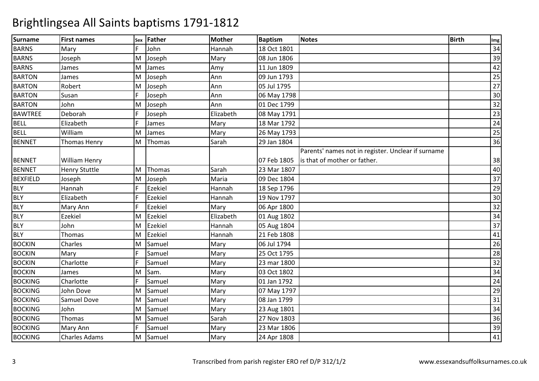| <b>Surname</b>  | <b>First names</b>   | Sex | Father  | <b>Mother</b> | <b>Baptism</b> | <b>Notes</b>                                       | <b>Birth</b> | Img             |
|-----------------|----------------------|-----|---------|---------------|----------------|----------------------------------------------------|--------------|-----------------|
| <b>BARNS</b>    | Mary                 | F.  | John    | Hannah        | 18 Oct 1801    |                                                    |              | 34              |
| <b>BARNS</b>    | Joseph               | M   | Joseph  | Mary          | 08 Jun 1806    |                                                    |              | 39              |
| <b>BARNS</b>    | James                | M   | James   | Amy           | 11 Jun 1809    |                                                    |              | 42              |
| <b>BARTON</b>   | James                | M   | Joseph  | Ann           | 09 Jun 1793    |                                                    |              | $\overline{25}$ |
| <b>BARTON</b>   | Robert               | м   | Joseph  | Ann           | 05 Jul 1795    |                                                    |              | $\overline{27}$ |
| <b>BARTON</b>   | Susan                | Ë   | Joseph  | Ann           | 06 May 1798    |                                                    |              | 30              |
| <b>BARTON</b>   | John                 | M   | Joseph  | Ann           | 01 Dec 1799    |                                                    |              | $\overline{32}$ |
| <b>BAWTREE</b>  | Deborah              |     | Joseph  | Elizabeth     | 08 May 1791    |                                                    |              | $\overline{23}$ |
| <b>BELL</b>     | Elizabeth            |     | James   | Mary          | 18 Mar 1792    |                                                    |              | $\overline{24}$ |
| <b>BELL</b>     | William              | M   | James   | Mary          | 26 May 1793    |                                                    |              | 25              |
| <b>BENNET</b>   | Thomas Henry         | M   | Thomas  | Sarah         | 29 Jan 1804    |                                                    |              | 36              |
|                 |                      |     |         |               |                | Parents' names not in register. Unclear if surname |              |                 |
| <b>BENNET</b>   | <b>William Henry</b> |     |         |               | 07 Feb 1805    | is that of mother or father.                       |              | 38              |
| <b>BENNET</b>   | <b>Henry Stuttle</b> | M   | Thomas  | Sarah         | 23 Mar 1807    |                                                    |              | 40              |
| <b>BEXFIELD</b> | Joseph               | м   | Joseph  | Maria         | 09 Dec 1804    |                                                    |              | 37              |
| <b>BLY</b>      | Hannah               |     | Ezekiel | Hannah        | 18 Sep 1796    |                                                    |              | 29              |
| <b>BLY</b>      | Elizabeth            | Ė   | Ezekiel | Hannah        | 19 Nov 1797    |                                                    |              | 30              |
| <b>BLY</b>      | Mary Ann             | F.  | Ezekiel | Mary          | 06 Apr 1800    |                                                    |              | 32              |
| <b>BLY</b>      | Ezekiel              | M   | Ezekiel | Elizabeth     | 01 Aug 1802    |                                                    |              | 34              |
| <b>BLY</b>      | John                 | M   | Ezekiel | Hannah        | 05 Aug 1804    |                                                    |              | $\overline{37}$ |
| <b>BLY</b>      | Thomas               | M   | Ezekiel | Hannah        | 21 Feb 1808    |                                                    |              | 41              |
| <b>BOCKIN</b>   | Charles              | M   | Samuel  | Mary          | 06 Jul 1794    |                                                    |              | 26              |
| <b>BOCKIN</b>   | Mary                 | Ē   | Samuel  | Mary          | 25 Oct 1795    |                                                    |              | 28              |
| <b>BOCKIN</b>   | Charlotte            |     | Samuel  | Mary          | 23 mar 1800    |                                                    |              | 32              |
| <b>BOCKIN</b>   | James                | M   | Sam.    | Mary          | 03 Oct 1802    |                                                    |              | 34              |
| <b>BOCKING</b>  | Charlotte            |     | Samuel  | Mary          | 01 Jan 1792    |                                                    |              | 24              |
| <b>BOCKING</b>  | John Dove            | M   | Samuel  | Mary          | 07 May 1797    |                                                    |              | 29              |
| <b>BOCKING</b>  | <b>Samuel Dove</b>   | м   | Samuel  | Mary          | 08 Jan 1799    |                                                    |              | 31              |
| <b>BOCKING</b>  | John                 | м   | Samuel  | Mary          | 23 Aug 1801    |                                                    |              | 34              |
| <b>BOCKING</b>  | Thomas               | м   | Samuel  | Sarah         | 27 Nov 1803    |                                                    |              | 36              |
| <b>BOCKING</b>  | <b>Mary Ann</b>      |     | Samuel  | Mary          | 23 Mar 1806    |                                                    |              | 39              |
| <b>BOCKING</b>  | <b>Charles Adams</b> | M   | Samuel  | Mary          | 24 Apr 1808    |                                                    |              | 41              |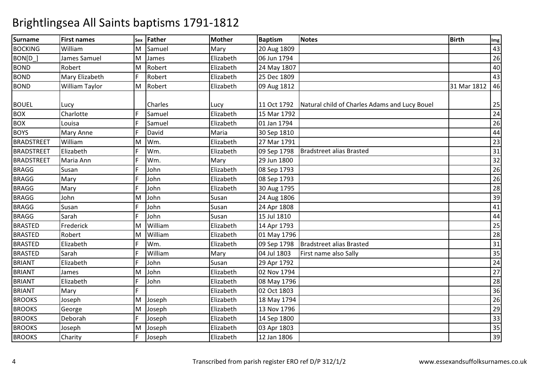| Surname           | <b>First names</b> | Sex | <b>Father</b>  | <b>Mother</b> | <b>Baptism</b> | <b>Notes</b>                                  | <b>Birth</b> | Img             |
|-------------------|--------------------|-----|----------------|---------------|----------------|-----------------------------------------------|--------------|-----------------|
| <b>BOCKING</b>    | William            | M   | Samuel         | Mary          | 20 Aug 1809    |                                               |              | 43              |
| BON[D_]           | James Samuel       | м   | James          | Elizabeth     | 06 Jun 1794    |                                               |              | 26              |
| <b>BOND</b>       | Robert             | M   | Robert         | Elizabeth     | 24 May 1807    |                                               |              | 40              |
| <b>BOND</b>       | Mary Elizabeth     |     | Robert         | Elizabeth     | 25 Dec 1809    |                                               |              | 43              |
| <b>BOND</b>       | William Taylor     | M   | Robert         | Elizabeth     | 09 Aug 1812    |                                               | 31 Mar 1812  | 46              |
| <b>BOUEL</b>      | Lucy               |     | <b>Charles</b> | Lucy          | 11 Oct 1792    | Natural child of Charles Adams and Lucy Bouel |              | 25              |
| <b>BOX</b>        | Charlotte          | F   | Samuel         | Elizabeth     | 15 Mar 1792    |                                               |              | 24              |
| <b>BOX</b>        | Louisa             |     | Samuel         | Elizabeth     | 01 Jan 1794    |                                               |              | 26              |
| <b>BOYS</b>       | <b>Mary Anne</b>   | F   | David          | Maria         | 30 Sep 1810    |                                               |              | 44              |
| <b>BRADSTREET</b> | William            | M   | Wm.            | Elizabeth     | 27 Mar 1791    |                                               |              | 23              |
| <b>BRADSTREET</b> | Elizabeth          |     | Wm.            | Elizabeth     | 09 Sep 1798    | <b>Bradstreet alias Brasted</b>               |              | 31              |
| <b>BRADSTREET</b> | Maria Ann          |     | Wm.            | Mary          | 29 Jun 1800    |                                               |              | $\overline{32}$ |
| <b>BRAGG</b>      | Susan              |     | John           | Elizabeth     | 08 Sep 1793    |                                               |              | 26              |
| <b>BRAGG</b>      | Mary               |     | John           | Elizabeth     | 08 Sep 1793    |                                               |              | 26              |
| <b>BRAGG</b>      | Mary               | F   | John           | Elizabeth     | 30 Aug 1795    |                                               |              | $\overline{28}$ |
| <b>BRAGG</b>      | John               | M   | John           | Susan         | 24 Aug 1806    |                                               |              | $\overline{39}$ |
| <b>BRAGG</b>      | Susan              |     | John           | Susan         | 24 Apr 1808    |                                               |              | 41              |
| <b>BRAGG</b>      | Sarah              |     | John           | Susan         | 15 Jul 1810    |                                               |              | 44              |
| <b>BRASTED</b>    | Frederick          | M   | William        | Elizabeth     | 14 Apr 1793    |                                               |              | $\overline{25}$ |
| <b>BRASTED</b>    | Robert             | M   | William        | Elizabeth     | 01 May 1796    |                                               |              | 28              |
| <b>BRASTED</b>    | Elizabeth          |     | Wm.            | Elizabeth     | 09 Sep 1798    | Bradstreet alias Brasted                      |              | $\overline{31}$ |
| <b>BRASTED</b>    | Sarah              |     | William        | Mary          | 04 Jul 1803    | First name also Sally                         |              | $\overline{35}$ |
| <b>BRIANT</b>     | Elizabeth          |     | John           | Susan         | 29 Apr 1792    |                                               |              | 24              |
| <b>BRIANT</b>     | James              | M   | John           | Elizabeth     | 02 Nov 1794    |                                               |              | $\overline{27}$ |
| <b>BRIANT</b>     | Elizabeth          | F   | John           | Elizabeth     | 08 May 1796    |                                               |              | 28              |
| <b>BRIANT</b>     | Mary               | F   |                | Elizabeth     | 02 Oct 1803    |                                               |              | 36              |
| <b>BROOKS</b>     | Joseph             | M   | Joseph         | Elizabeth     | 18 May 1794    |                                               |              | 26              |
| <b>BROOKS</b>     | George             | M   | Joseph         | Elizabeth     | 13 Nov 1796    |                                               |              | $\overline{29}$ |
| <b>BROOKS</b>     | Deborah            |     | Joseph         | Elizabeth     | 14 Sep 1800    |                                               |              | 33              |
| <b>BROOKS</b>     | Joseph             | M   | Joseph         | Elizabeth     | 03 Apr 1803    |                                               |              | $\overline{35}$ |
| <b>BROOKS</b>     | Charity            | F   | Joseph         | Elizabeth     | 12 Jan 1806    |                                               |              | 39              |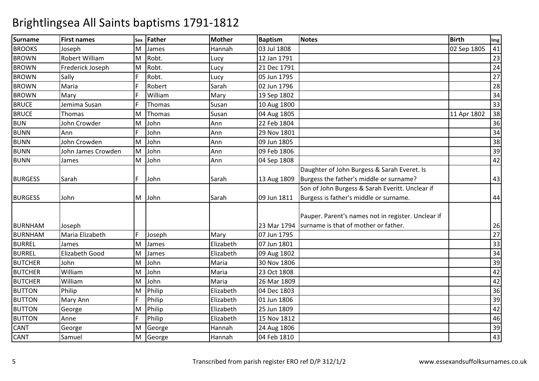| Surname        | <b>First names</b>    | Sex | Father  | <b>Mother</b> | <b>Baptism</b> | Notes                                              | <b>Birth</b> | Img |
|----------------|-----------------------|-----|---------|---------------|----------------|----------------------------------------------------|--------------|-----|
| <b>BROOKS</b>  | Joseph                | M   | James   | Hannah        | 03 Jul 1808    |                                                    | 02 Sep 1805  | 41  |
| <b>BROWN</b>   | Robert William        | M   | Robt.   | Lucy          | 12 Jan 1791    |                                                    |              | 23  |
| <b>BROWN</b>   | Frederick Joseph      | M   | Robt.   | Lucy          | 21 Dec 1791    |                                                    |              | 24  |
| <b>BROWN</b>   | Sally                 | F   | Robt.   | Lucy          | 05 Jun 1795    |                                                    |              | 27  |
| <b>BROWN</b>   | Maria                 |     | Robert  | Sarah         | 02 Jun 1796    |                                                    |              | 28  |
| <b>BROWN</b>   | Mary                  |     | William | Mary          | 19 Sep 1802    |                                                    |              | 34  |
| <b>BRUCE</b>   | Jemima Susan          |     | Thomas  | Susan         | 10 Aug 1800    |                                                    |              | 33  |
| <b>BRUCE</b>   | Thomas                | м   | Thomas  | Susan         | 04 Aug 1805    |                                                    | 11 Apr 1802  | 38  |
| <b>BUN</b>     | John Crowder          | м   | John    | Ann           | 22 Feb 1804    |                                                    |              | 36  |
| <b>BUNN</b>    | Ann                   | F   | John    | Ann           | 29 Nov 1801    |                                                    |              | 34  |
| <b>BUNN</b>    | John Crowden          | M   | John    | Ann           | 09 Jun 1805    |                                                    |              | 38  |
| <b>BUNN</b>    | John James Crowden    | M   | John    | Ann           | 09 Feb 1806    |                                                    |              | 39  |
| <b>BUNN</b>    | James                 | M   | John    | Ann           | 04 Sep 1808    |                                                    |              | 42  |
|                |                       |     |         |               |                | Daughter of John Burgess & Sarah Everet. Is        |              |     |
| <b>BURGESS</b> | Sarah                 | F   | John    | Sarah         | 13 Aug 1809    | Burgess the father's middle or surname?            |              | 43  |
|                |                       |     |         |               |                | Son of John Burgess & Sarah Everitt. Unclear if    |              |     |
| <b>BURGESS</b> | John                  | M   | John    | Sarah         | 09 Jun 1811    | Burgess is father's middle or surname.             |              | 44  |
|                |                       |     |         |               |                |                                                    |              |     |
|                |                       |     |         |               |                | Pauper. Parent's names not in register. Unclear if |              |     |
| <b>BURNHAM</b> | Joseph                |     |         |               | 23 Mar 1794    | surname is that of mother or father.               |              | 26  |
| <b>BURNHAM</b> | Maria Elizabeth       | F   | Joseph  | Mary          | 07 Jun 1795    |                                                    |              | 27  |
| <b>BURREL</b>  | James                 | M   | James   | Elizabeth     | 07 Jun 1801    |                                                    |              | 33  |
| <b>BURREL</b>  | <b>Elizabeth Good</b> | M   | James   | Elizabeth     | 09 Aug 1802    |                                                    |              | 34  |
| <b>BUTCHER</b> | John                  | M   | John    | Maria         | 30 Nov 1806    |                                                    |              | 39  |
| <b>BUTCHER</b> | William               | M   | John    | Maria         | 23 Oct 1808    |                                                    |              | 42  |
| <b>BUTCHER</b> | William               | м   | John    | Maria         | 26 Mar 1809    |                                                    |              | 42  |
| <b>BUTTON</b>  | Philip                | M   | Philip  | Elizabeth     | 04 Dec 1803    |                                                    |              | 36  |
| <b>BUTTON</b>  | <b>Mary Ann</b>       | F   | Philip  | Elizabeth     | 01 Jun 1806    |                                                    |              | 39  |
| <b>BUTTON</b>  | George                | M   | Philip  | Elizabeth     | 25 Jun 1809    |                                                    |              | 42  |
| <b>BUTTON</b>  | Anne                  | F   | Philip  | Elizabeth     | 15 Nov 1812    |                                                    |              | 46  |
| <b>CANT</b>    | George                | M   | George  | Hannah        | 24 Aug 1806    |                                                    |              | 39  |
| <b>CANT</b>    | Samuel                | M   | George  | Hannah        | 04 Feb 1810    |                                                    |              | 43  |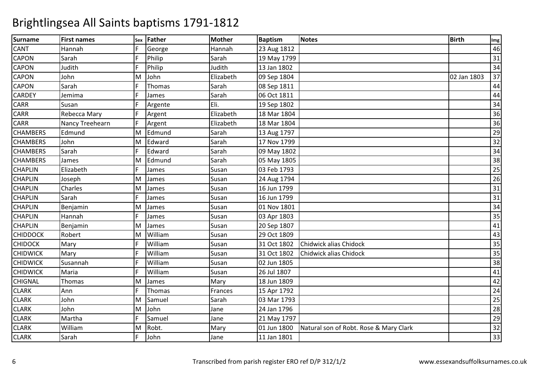| <b>Surname</b>  | <b>First names</b> | Sex | Father  | <b>Mother</b> | <b>Baptism</b> | <b>Notes</b>                           | <b>Birth</b> | Img             |
|-----------------|--------------------|-----|---------|---------------|----------------|----------------------------------------|--------------|-----------------|
| <b>CANT</b>     | Hannah             | F   | George  | Hannah        | 23 Aug 1812    |                                        |              | 46              |
| <b>CAPON</b>    | Sarah              | F   | Philip  | Sarah         | 19 May 1799    |                                        |              | 31              |
| <b>CAPON</b>    | Judith             | F   | Philip  | Judith        | 13 Jan 1802    |                                        |              | 34              |
| <b>CAPON</b>    | John               | M   | John    | Elizabeth     | 09 Sep 1804    |                                        | 02 Jan 1803  | 37              |
| <b>CAPON</b>    | Sarah              | F   | Thomas  | Sarah         | 08 Sep 1811    |                                        |              | 44              |
| <b>CARDEY</b>   | Jemima             | F   | James   | Sarah         | 06 Oct 1811    |                                        |              | 44              |
| <b>CARR</b>     | Susan              |     | Argente | Eli.          | 19 Sep 1802    |                                        |              | 34              |
| <b>CARR</b>     | Rebecca Mary       | F   | Argent  | Elizabeth     | 18 Mar 1804    |                                        |              | 36              |
| <b>CARR</b>     | Nancy Treehearn    | F.  | Argent  | Elizabeth     | 18 Mar 1804    |                                        |              | 36              |
| <b>CHAMBERS</b> | Edmund             | M   | Edmund  | Sarah         | 13 Aug 1797    |                                        |              | 29              |
| <b>CHAMBERS</b> | John               | M   | Edward  | Sarah         | 17 Nov 1799    |                                        |              | 32              |
| <b>CHAMBERS</b> | Sarah              | F   | Edward  | Sarah         | 09 May 1802    |                                        |              | $\overline{34}$ |
| <b>CHAMBERS</b> | James              | M   | Edmund  | Sarah         | 05 May 1805    |                                        |              | 38              |
| <b>CHAPLIN</b>  | Elizabeth          | F   | James   | Susan         | 03 Feb 1793    |                                        |              | 25              |
| <b>CHAPLIN</b>  | Joseph             | M   | James   | Susan         | 24 Aug 1794    |                                        |              | 26              |
| <b>CHAPLIN</b>  | Charles            | M   | James   | Susan         | 16 Jun 1799    |                                        |              | $\overline{31}$ |
| <b>CHAPLIN</b>  | Sarah              | F.  | James   | Susan         | 16 Jun 1799    |                                        |              | $\overline{31}$ |
| <b>CHAPLIN</b>  | Benjamin           | M   | James   | Susan         | 01 Nov 1801    |                                        |              | 34              |
| <b>CHAPLIN</b>  | Hannah             | F   | James   | Susan         | 03 Apr 1803    |                                        |              | 35              |
| <b>CHAPLIN</b>  | Benjamin           | M   | James   | Susan         | 20 Sep 1807    |                                        |              | 41              |
| <b>CHIDDOCK</b> | Robert             | M   | William | Susan         | 29 Oct 1809    |                                        |              | 43              |
| <b>CHIDOCK</b>  | Mary               | F   | William | Susan         | 31 Oct 1802    | Chidwick alias Chidock                 |              | 35              |
| <b>CHIDWICK</b> | Mary               |     | William | Susan         | 31 Oct 1802    | Chidwick alias Chidock                 |              | 35              |
| <b>CHIDWICK</b> | Susannah           | F   | William | Susan         | 02 Jun 1805    |                                        |              | 38              |
| <b>CHIDWICK</b> | Maria              | F   | William | Susan         | 26 Jul 1807    |                                        |              | 41              |
| <b>CHIGNAL</b>  | Thomas             | M   | James   | Mary          | 18 Jun 1809    |                                        |              | 42              |
| <b>CLARK</b>    | Ann                | F   | Thomas  | Frances       | 15 Apr 1792    |                                        |              | 24              |
| <b>CLARK</b>    | John               | M   | Samuel  | Sarah         | 03 Mar 1793    |                                        |              | $\overline{25}$ |
| <b>CLARK</b>    | John               | M   | John    | Jane          | 24 Jan 1796    |                                        |              | 28              |
| <b>CLARK</b>    | Martha             | F   | Samuel  | Jane          | 21 May 1797    |                                        |              | 29              |
| <b>CLARK</b>    | William            | M   | Robt.   | Mary          | 01 Jun 1800    | Natural son of Robt. Rose & Mary Clark |              | 32              |
| <b>CLARK</b>    | Sarah              | F   | John    | Jane          | 11 Jan 1801    |                                        |              | 33              |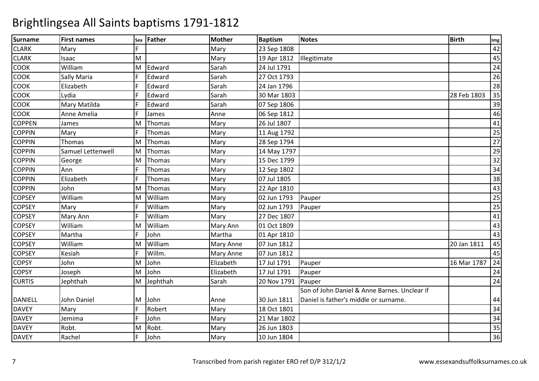| Surname        | <b>First names</b> | Sex | Father   | <b>Mother</b> | <b>Baptism</b> | Notes                                        | <b>Birth</b> | Img             |
|----------------|--------------------|-----|----------|---------------|----------------|----------------------------------------------|--------------|-----------------|
| <b>CLARK</b>   | Mary               | E   |          | Mary          | 23 Sep 1808    |                                              |              | 42              |
| <b>CLARK</b>   | Isaac              | M   |          | Mary          | 19 Apr 1812    | Illegitimate                                 |              | 45              |
| <b>COOK</b>    | William            | M   | Edward   | Sarah         | 24 Jul 1791    |                                              |              | 24              |
| <b>COOK</b>    | Sally Maria        | F   | Edward   | Sarah         | 27 Oct 1793    |                                              |              | 26              |
| <b>COOK</b>    | Elizabeth          | F   | Edward   | Sarah         | 24 Jan 1796    |                                              |              | 28              |
| <b>COOK</b>    | Lydia              | F   | Edward   | Sarah         | 30 Mar 1803    |                                              | 28 Feb 1803  | 35              |
| <b>COOK</b>    | Mary Matilda       |     | Edward   | Sarah         | 07 Sep 1806    |                                              |              | 39              |
| <b>COOK</b>    | Anne Amelia        | F   | James    | Anne          | 06 Sep 1812    |                                              |              | 46              |
| <b>COPPEN</b>  | James              | M   | Thomas   | Mary          | 26 Jul 1807    |                                              |              | 41              |
| <b>COPPIN</b>  | Mary               | F   | Thomas   | Mary          | 11 Aug 1792    |                                              |              | 25              |
| <b>COPPIN</b>  | Thomas             | M   | Thomas   | Mary          | 28 Sep 1794    |                                              |              | 27              |
| <b>COPPIN</b>  | Samuel Lettenwell  | M   | Thomas   | Mary          | 14 May 1797    |                                              |              | $\overline{29}$ |
| <b>COPPIN</b>  | George             | M   | Thomas   | Mary          | 15 Dec 1799    |                                              |              | $\overline{32}$ |
| <b>COPPIN</b>  | Ann                | F   | Thomas   | Mary          | 12 Sep 1802    |                                              |              | 34              |
| <b>COPPIN</b>  | Elizabeth          |     | Thomas   | Mary          | 07 Jul 1805    |                                              |              | 38              |
| <b>COPPIN</b>  | John               | M   | Thomas   | Mary          | 22 Apr 1810    |                                              |              | 43              |
| <b>COPSEY</b>  | William            | M   | William  | Mary          | 02 Jun 1793    | Pauper                                       |              | $\overline{25}$ |
| <b>COPSEY</b>  | Mary               |     | William  | Mary          | 02 Jun 1793    | Pauper                                       |              | $\overline{25}$ |
| <b>COPSEY</b>  | Mary Ann           |     | William  | Mary          | 27 Dec 1807    |                                              |              | 41              |
| <b>COPSEY</b>  | William            | M   | William  | Mary Ann      | 01 Oct 1809    |                                              |              | $\overline{43}$ |
| <b>COPSEY</b>  | Martha             | F   | John     | Martha        | 01 Apr 1810    |                                              |              | 43              |
| <b>COPSEY</b>  | William            | M   | William  | Mary Anne     | 07 Jun 1812    |                                              | 20 Jan 1811  | 45              |
| <b>COPSEY</b>  | Kesiah             |     | Willm.   | Mary Anne     | 07 Jun 1812    |                                              |              | 45              |
| <b>COPSY</b>   | John               | M   | John     | Elizabeth     | 17 Jul 1791    | Pauper                                       | 16 Mar 1787  | 24              |
| <b>COPSY</b>   | Joseph             | M   | John     | Elizabeth     | 17 Jul 1791    | Pauper                                       |              | 24              |
| <b>CURTIS</b>  | Jephthah           | M   | Jephthah | Sarah         | 20 Nov 1791    | Pauper                                       |              | 24              |
|                |                    |     |          |               |                | Son of John Daniel & Anne Barnes. Unclear if |              |                 |
| <b>DANIELL</b> | John Daniel        | M   | John     | Anne          | 30 Jun 1811    | Daniel is father's middle or surname.        |              | 44              |
| <b>DAVEY</b>   | Mary               | F   | Robert   | Mary          | 18 Oct 1801    |                                              |              | 34              |
| <b>DAVEY</b>   | Jemima             | F   | John     | Mary          | 21 Mar 1802    |                                              |              | 34              |
| <b>DAVEY</b>   | Robt.              | M   | Robt.    | Mary          | 26 Jun 1803    |                                              |              | $\overline{35}$ |
| <b>DAVEY</b>   | Rachel             | F   | John     | Mary          | 10 Jun 1804    |                                              |              | 36              |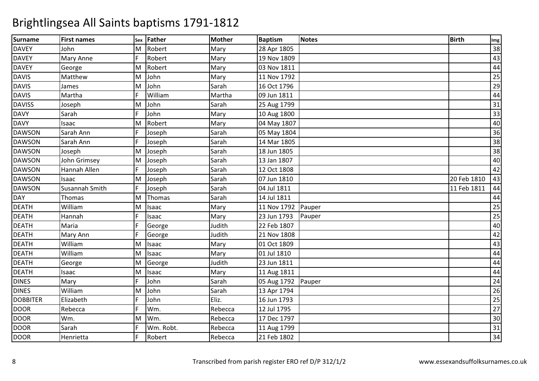| <b>Surname</b>  | <b>First names</b> | Sex | <b>Father</b> | <b>Mother</b> | <b>Baptism</b> | <b>Notes</b> | <b>Birth</b> | Img             |
|-----------------|--------------------|-----|---------------|---------------|----------------|--------------|--------------|-----------------|
| <b>DAVEY</b>    | John               | м   | Robert        | Mary          | 28 Apr 1805    |              |              | 38              |
| <b>DAVEY</b>    | <b>Mary Anne</b>   | F   | Robert        | Mary          | 19 Nov 1809    |              |              | 43              |
| <b>DAVEY</b>    | George             | M   | Robert        | Mary          | 03 Nov 1811    |              |              | 44              |
| <b>DAVIS</b>    | Matthew            | M   | John          | Mary          | 11 Nov 1792    |              |              | 25              |
| <b>DAVIS</b>    | James              | M   | John          | Sarah         | 16 Oct 1796    |              |              | $\overline{29}$ |
| <b>DAVIS</b>    | Martha             | F   | William       | Martha        | 09 Jun 1811    |              |              | 44              |
| <b>DAVISS</b>   | Joseph             | M   | John          | Sarah         | 25 Aug 1799    |              |              | 31              |
| <b>DAVY</b>     | Sarah              | F   | John          | Mary          | 10 Aug 1800    |              |              | 33              |
| <b>DAVY</b>     | Isaac              | M   | Robert        | Mary          | 04 May 1807    |              |              | 40              |
| <b>DAWSON</b>   | Sarah Ann          | F   | Joseph        | Sarah         | 05 May 1804    |              |              | 36              |
| <b>DAWSON</b>   | Sarah Ann          |     | Joseph        | Sarah         | 14 Mar 1805    |              |              | 38              |
| <b>DAWSON</b>   | Joseph             | м   | Joseph        | Sarah         | 18 Jun 1805    |              |              | 38              |
| <b>DAWSON</b>   | John Grimsey       | M   | Joseph        | Sarah         | 13 Jan 1807    |              |              | 40              |
| <b>DAWSON</b>   | Hannah Allen       | F   | Joseph        | Sarah         | 12 Oct 1808    |              |              | 42              |
| <b>DAWSON</b>   | Isaac              | M   | Joseph        | Sarah         | 07 Jun 1810    |              | 20 Feb 1810  | 43              |
| <b>DAWSON</b>   | Susannah Smith     | F   | Joseph        | Sarah         | 04 Jul 1811    |              | 11 Feb 1811  | 44              |
| DAY             | Thomas             | M   | Thomas        | Sarah         | 14 Jul 1811    |              |              | 44              |
| <b>DEATH</b>    | William            | м   | Isaac         | Mary          | 11 Nov 1792    | Pauper       |              | 25              |
| DEATH           | Hannah             |     | Isaac         | Mary          | 23 Jun 1793    | Pauper       |              | $\overline{25}$ |
| <b>DEATH</b>    | Maria              |     | George        | Judith        | 22 Feb 1807    |              |              | 40              |
| <b>DEATH</b>    | Mary Ann           | Ē   | George        | Judith        | 21 Nov 1808    |              |              | 42              |
| <b>DEATH</b>    | William            | M   | Isaac         | Mary          | 01 Oct 1809    |              |              | 43              |
| <b>DEATH</b>    | William            | M   | Isaac         | Mary          | 01 Jul 1810    |              |              | 44              |
| <b>DEATH</b>    | George             | м   | George        | Judith        | 23 Jun 1811    |              |              | 44              |
| <b>DEATH</b>    | Isaac              | M   | Isaac         | Mary          | 11 Aug 1811    |              |              | 44              |
| <b>DINES</b>    | Mary               | F   | John          | Sarah         | 05 Aug 1792    | Pauper       |              | 24              |
| <b>DINES</b>    | William            | M   | John          | Sarah         | 13 Apr 1794    |              |              | $\overline{26}$ |
| <b>DOBBITER</b> | Elizabeth          | E   | John          | Eliz.         | 16 Jun 1793    |              |              | $\overline{25}$ |
| <b>DOOR</b>     | Rebecca            | E   | Wm.           | Rebecca       | 12 Jul 1795    |              |              | $\overline{27}$ |
| <b>DOOR</b>     | Wm.                | M   | Wm.           | Rebecca       | 17 Dec 1797    |              |              | 30              |
| <b>DOOR</b>     | Sarah              |     | Wm. Robt.     | Rebecca       | 11 Aug 1799    |              |              | 31              |
| <b>DOOR</b>     | Henrietta          | F   | Robert        | Rebecca       | 21 Feb 1802    |              |              | 34              |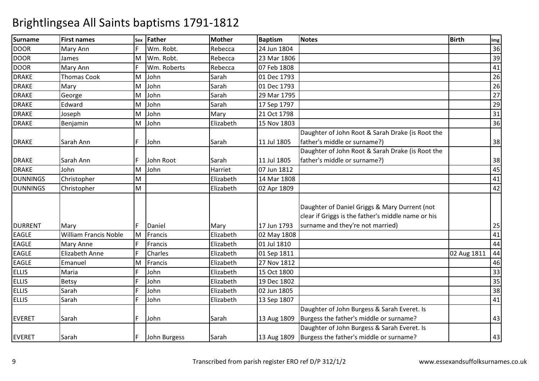| <b>Surname</b>  | <b>First names</b>           | Sex | <b>Father</b> | <b>Mother</b> | <b>Baptism</b> | <b>Notes</b>                                                                                         | <b>Birth</b> | Img             |
|-----------------|------------------------------|-----|---------------|---------------|----------------|------------------------------------------------------------------------------------------------------|--------------|-----------------|
| <b>DOOR</b>     | Mary Ann                     | F   | Wm. Robt.     | Rebecca       | 24 Jun 1804    |                                                                                                      |              | 36              |
| <b>DOOR</b>     | James                        | M   | Wm. Robt.     | Rebecca       | 23 Mar 1806    |                                                                                                      |              | 39              |
| <b>DOOR</b>     | Mary Ann                     |     | Wm. Roberts   | Rebecca       | 07 Feb 1808    |                                                                                                      |              | 41              |
| <b>DRAKE</b>    | <b>Thomas Cook</b>           | M   | John          | Sarah         | 01 Dec 1793    |                                                                                                      |              | 26              |
| <b>DRAKE</b>    | Mary                         | M   | John          | Sarah         | 01 Dec 1793    |                                                                                                      |              | $\overline{26}$ |
| <b>DRAKE</b>    | George                       | M   | John          | Sarah         | 29 Mar 1795    |                                                                                                      |              | 27              |
| <b>DRAKE</b>    | Edward                       | M   | John          | Sarah         | 17 Sep 1797    |                                                                                                      |              | 29              |
| <b>DRAKE</b>    | Joseph                       | M   | John          | Mary          | 21 Oct 1798    |                                                                                                      |              | $\overline{31}$ |
| <b>DRAKE</b>    | Benjamin                     | M   | John          | Elizabeth     | 15 Nov 1803    |                                                                                                      |              | 36              |
|                 |                              |     |               |               |                | Daughter of John Root & Sarah Drake (is Root the                                                     |              |                 |
| <b>DRAKE</b>    | Sarah Ann                    | F.  | John          | Sarah         | 11 Jul 1805    | father's middle or surname?)                                                                         |              | 38              |
|                 |                              |     |               |               |                | Daughter of John Root & Sarah Drake (is Root the                                                     |              |                 |
| <b>DRAKE</b>    | Sarah Ann                    | F   | John Root     | Sarah         | 11 Jul 1805    | father's middle or surname?)                                                                         |              | 38              |
| <b>DRAKE</b>    | John                         | M   | John          | Harriet       | 07 Jun 1812    |                                                                                                      |              | 45              |
| <b>DUNNINGS</b> | Christopher                  | M   |               | Elizabeth     | 14 Mar 1808    |                                                                                                      |              | 41              |
| <b>DUNNINGS</b> | Christopher                  | M   |               | Elizabeth     | 02 Apr 1809    |                                                                                                      |              | 42              |
|                 |                              |     |               |               |                | Daughter of Daniel Griggs & Mary Durrent (not<br>clear if Griggs is the father's middle name or his  |              |                 |
| <b>DURRENT</b>  | Mary                         | F.  | Daniel        | Mary          | 17 Jun 1793    | surname and they're not married)                                                                     |              | 25              |
| <b>EAGLE</b>    | <b>William Francis Noble</b> | M   | Francis       | Elizabeth     | 02 May 1808    |                                                                                                      |              | 41              |
| <b>EAGLE</b>    | <b>Mary Anne</b>             |     | Francis       | Elizabeth     | 01 Jul 1810    |                                                                                                      |              | 44              |
| <b>EAGLE</b>    | <b>Elizabeth Anne</b>        | F   | Charles       | Elizabeth     | 01 Sep 1811    |                                                                                                      | 02 Aug 1811  | 44              |
| <b>EAGLE</b>    | Emanuel                      | M   | Francis       | Elizabeth     | 27 Nov 1812    |                                                                                                      |              | 46              |
| <b>ELLIS</b>    | Maria                        | F   | John          | Elizabeth     | 15 Oct 1800    |                                                                                                      |              | 33              |
| <b>ELLIS</b>    | Betsy                        | F   | John          | Elizabeth     | 19 Dec 1802    |                                                                                                      |              | 35              |
| <b>ELLIS</b>    | Sarah                        | E   | John          | Elizabeth     | 02 Jun 1805    |                                                                                                      |              | 38              |
| <b>ELLIS</b>    | Sarah                        | F   | John          | Elizabeth     | 13 Sep 1807    |                                                                                                      |              | 41              |
| <b>EVERET</b>   | Sarah                        | F   | John          | Sarah         | 13 Aug 1809    | Daughter of John Burgess & Sarah Everet. Is<br>Burgess the father's middle or surname?               |              | 43              |
| <b>EVERET</b>   | Sarah                        | F   | John Burgess  | Sarah         |                | Daughter of John Burgess & Sarah Everet. Is<br>13 Aug 1809   Burgess the father's middle or surname? |              | 43              |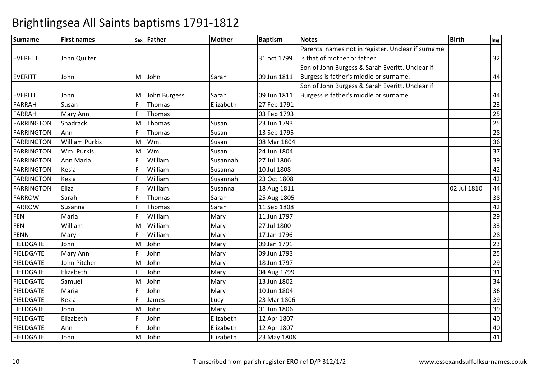| <b>Surname</b>    | <b>First names</b>    |    | sex Father   | <b>Mother</b> | <b>Baptism</b> | <b>Notes</b>                                       | <b>Birth</b> | Img |
|-------------------|-----------------------|----|--------------|---------------|----------------|----------------------------------------------------|--------------|-----|
|                   |                       |    |              |               |                | Parents' names not in register. Unclear if surname |              |     |
| <b>EVERETT</b>    | John Quilter          |    |              |               | 31 oct 1799    | is that of mother or father.                       |              | 32  |
|                   |                       |    |              |               |                | Son of John Burgess & Sarah Everitt. Unclear if    |              |     |
| <b>EVERITT</b>    | John                  | M  | John         | Sarah         | 09 Jun 1811    | Burgess is father's middle or surname.             |              | 44  |
|                   |                       |    |              |               |                | Son of John Burgess & Sarah Everitt. Unclear if    |              |     |
| <b>EVERITT</b>    | John                  | M  | John Burgess | Sarah         | 09 Jun 1811    | Burgess is father's middle or surname.             |              | 44  |
| <b>FARRAH</b>     | Susan                 | F  | Thomas       | Elizabeth     | 27 Feb 1791    |                                                    |              | 23  |
| <b>FARRAH</b>     | Mary Ann              | F  | Thomas       |               | 03 Feb 1793    |                                                    |              | 25  |
| <b>FARRINGTON</b> | Shadrack              | M  | Thomas       | Susan         | 23 Jun 1793    |                                                    |              | 25  |
| FARRINGTON        | Ann                   | F  | Thomas       | Susan         | 13 Sep 1795    |                                                    |              | 28  |
| <b>FARRINGTON</b> | <b>William Purkis</b> | M  | Wm.          | Susan         | 08 Mar 1804    |                                                    |              | 36  |
| <b>FARRINGTON</b> | Wm. Purkis            | M  | Wm.          | Susan         | 24 Jun 1804    |                                                    |              | 37  |
| <b>FARRINGTON</b> | Ann Maria             |    | William      | Susannah      | 27 Jul 1806    |                                                    |              | 39  |
| <b>FARRINGTON</b> | Kesia                 | F  | William      | Susanna       | 10 Jul 1808    |                                                    |              | 42  |
| <b>FARRINGTON</b> | Kesia                 |    | William      | Susannah      | 23 Oct 1808    |                                                    |              | 42  |
| <b>FARRINGTON</b> | Eliza                 | E  | William      | Susanna       | 18 Aug 1811    |                                                    | 02 Jul 1810  | 44  |
| <b>FARROW</b>     | Sarah                 |    | Thomas       | Sarah         | 25 Aug 1805    |                                                    |              | 38  |
| <b>FARROW</b>     | Susanna               | F  | Thomas       | Sarah         | 11 Sep 1808    |                                                    |              | 42  |
| <b>FEN</b>        | Maria                 |    | William      | Mary          | 11 Jun 1797    |                                                    |              | 29  |
| <b>FEN</b>        | William               | M  | William      | Mary          | 27 Jul 1800    |                                                    |              | 33  |
| <b>FENN</b>       | Mary                  | F  | William      | Mary          | 17 Jan 1796    |                                                    |              | 28  |
| <b>FIELDGATE</b>  | John                  | M  | John         | Mary          | 09 Jan 1791    |                                                    |              | 23  |
| <b>FIELDGATE</b>  | Mary Ann              | F  | John         | Mary          | 09 Jun 1793    |                                                    |              | 25  |
| <b>FIELDGATE</b>  | John Pitcher          | M  | John         | Mary          | 18 Jun 1797    |                                                    |              | 29  |
| <b>FIELDGATE</b>  | Elizabeth             | F  | John         | Mary          | 04 Aug 1799    |                                                    |              | 31  |
| <b>FIELDGATE</b>  | Samuel                | M  | John         | Mary          | 13 Jun 1802    |                                                    |              | 34  |
| <b>FIELDGATE</b>  | Maria                 | F  | John         | Mary          | 10 Jun 1804    |                                                    |              | 36  |
| <b>FIELDGATE</b>  | Kezia                 | F  | James        | Lucy          | 23 Mar 1806    |                                                    |              | 39  |
| <b>FIELDGATE</b>  | John                  | M  | John         | Mary          | 01 Jun 1806    |                                                    |              | 39  |
| <b>FIELDGATE</b>  | Elizabeth             | F  | John         | Elizabeth     | 12 Apr 1807    |                                                    |              | 40  |
| <b>FIELDGATE</b>  | Ann                   | F. | John         | Elizabeth     | 12 Apr 1807    |                                                    |              | 40  |
| <b>FIELDGATE</b>  | John                  | M  | John         | Elizabeth     | 23 May 1808    |                                                    |              | 41  |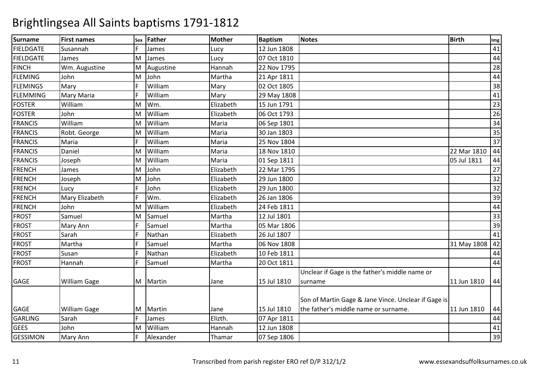| Surname          | <b>First names</b>  | <b>Sex</b> | Father    | <b>Mother</b> | <b>Baptism</b> | <b>Notes</b>                                        | <b>Birth</b> | Img |
|------------------|---------------------|------------|-----------|---------------|----------------|-----------------------------------------------------|--------------|-----|
| <b>FIELDGATE</b> | Susannah            | F.         | James     | Lucy          | 12 Jun 1808    |                                                     |              | 41  |
| <b>FIELDGATE</b> | James               | M          | James     | Lucy          | 07 Oct 1810    |                                                     |              | 44  |
| <b>FINCH</b>     | Wm. Augustine       | M          | Augustine | Hannah        | 22 Nov 1795    |                                                     |              | 28  |
| <b>FLEMING</b>   | John                | M          | John      | Martha        | 21 Apr 1811    |                                                     |              | 44  |
| <b>FLEMINGS</b>  | Mary                | F.         | William   | Mary          | 02 Oct 1805    |                                                     |              | 38  |
| <b>FLEMMING</b>  | Mary Maria          | F          | William   | Mary          | 29 May 1808    |                                                     |              | 41  |
| <b>FOSTER</b>    | William             | M          | Wm.       | Elizabeth     | 15 Jun 1791    |                                                     |              | 23  |
| <b>FOSTER</b>    | John                | M          | William   | Elizabeth     | 06 Oct 1793    |                                                     |              | 26  |
| <b>FRANCIS</b>   | William             | M          | William   | Maria         | 06 Sep 1801    |                                                     |              | 34  |
| <b>FRANCIS</b>   | Robt. George        | M          | William   | Maria         | 30 Jan 1803    |                                                     |              | 35  |
| <b>FRANCIS</b>   | Maria               |            | William   | Maria         | 25 Nov 1804    |                                                     |              | 37  |
| <b>FRANCIS</b>   | Daniel              | M          | William   | Maria         | 18 Nov 1810    |                                                     | 22 Mar 1810  | 44  |
| <b>FRANCIS</b>   | Joseph              | M          | William   | Maria         | 01 Sep 1811    |                                                     | 05 Jul 1811  | 44  |
| <b>FRENCH</b>    | James               | M          | John      | Elizabeth     | 22 Mar 1795    |                                                     |              | 27  |
| <b>FRENCH</b>    | Joseph              | M          | John      | Elizabeth     | 29 Jun 1800    |                                                     |              | 32  |
| <b>FRENCH</b>    | Lucy                | F          | John      | Elizabeth     | 29 Jun 1800    |                                                     |              | 32  |
| <b>FRENCH</b>    | Mary Elizabeth      | F          | Wm.       | Elizabeth     | 26 Jan 1806    |                                                     |              | 39  |
| <b>FRENCH</b>    | John                | M          | William   | Elizabeth     | 24 Feb 1811    |                                                     |              | 44  |
| <b>FROST</b>     | Samuel              | M          | Samuel    | Martha        | 12 Jul 1801    |                                                     |              | 33  |
| <b>FROST</b>     | Mary Ann            | F          | Samuel    | Martha        | 05 Mar 1806    |                                                     |              | 39  |
| <b>FROST</b>     | Sarah               | F          | Nathan    | Elizabeth     | 26 Jul 1807    |                                                     |              | 41  |
| <b>FROST</b>     | Martha              | F          | Samuel    | Martha        | 06 Nov 1808    |                                                     | 31 May 1808  | 42  |
| <b>FROST</b>     | Susan               |            | Nathan    | Elizabeth     | 10 Feb 1811    |                                                     |              | 44  |
| <b>FROST</b>     | Hannah              | F          | Samuel    | Martha        | 20 Oct 1811    |                                                     |              | 44  |
|                  |                     |            |           |               |                | Unclear if Gage is the father's middle name or      |              |     |
| <b>GAGE</b>      | <b>William Gage</b> | M          | Martin    | Jane          | 15 Jul 1810    | surname                                             | 11 Jun 1810  | 44  |
|                  |                     |            |           |               |                | Son of Martin Gage & Jane Vince. Unclear if Gage is |              |     |
| <b>GAGE</b>      | <b>William Gage</b> | M          | Martin    | Jane          | 15 Jul 1810    | the father's middle name or surname.                | 11 Jun 1810  | 44  |
| <b>GARLING</b>   | Sarah               | F          | James     | Elizth.       | 07 Apr 1811    |                                                     |              | 44  |
| <b>GEES</b>      | John                | M          | William   | Hannah        | 12 Jun 1808    |                                                     |              | 41  |
| <b>GESSIMON</b>  | Mary Ann            |            | Alexander | Thamar        | 07 Sep 1806    |                                                     |              | 39  |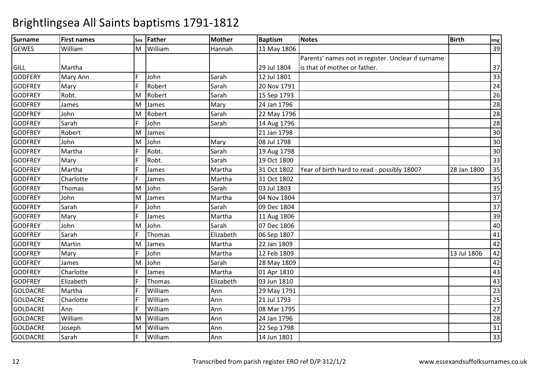| <b>Surname</b>  | <b>First names</b> | Sex | Father  | <b>Mother</b> | <b>Baptism</b> | <b>Notes</b>                                       | <b>Birth</b> | Img             |
|-----------------|--------------------|-----|---------|---------------|----------------|----------------------------------------------------|--------------|-----------------|
| <b>GEWES</b>    | William            | M   | William | Hannah        | 11 May 1806    |                                                    |              | 39              |
|                 |                    |     |         |               |                | Parents' names not in register. Unclear if surname |              |                 |
| <b>GILL</b>     | Martha             |     |         |               | 29 Jul 1804    | is that of mother or father.                       |              | 37              |
| <b>GODFERY</b>  | Mary Ann           | F   | John    | Sarah         | 12 Jul 1801    |                                                    |              | 33              |
| <b>GODFREY</b>  | Mary               |     | Robert  | Sarah         | 20 Nov 1791    |                                                    |              | 24              |
| <b>GODFREY</b>  | Robt.              | M   | Robert  | Sarah         | 15 Sep 1793    |                                                    |              | $\overline{26}$ |
| <b>GODFREY</b>  | James              | M   | James   | Mary          | 24 Jan 1796    |                                                    |              | 28              |
| <b>GODFREY</b>  | John               | M   | Robert  | Sarah         | 22 May 1796    |                                                    |              | $\overline{28}$ |
| <b>GODFREY</b>  | Sarah              |     | John    | Sarah         | 14 Aug 1796    |                                                    |              | 28              |
| <b>GODFREY</b>  | Robert             | M   | James   |               | 21 Jan 1798    |                                                    |              | 30              |
| <b>GODFREY</b>  | John               | M   | John    | Mary          | 08 Jul 1798    |                                                    |              | 30              |
| <b>GODFREY</b>  | Martha             |     | Robt.   | Sarah         | 19 Aug 1798    |                                                    |              | 30              |
| <b>GODFREY</b>  | Mary               |     | Robt.   | Sarah         | 19 Oct 1800    |                                                    |              | 33              |
| <b>GODFREY</b>  | Martha             |     | James   | Martha        | 31 Oct 1802    | Year of birth hard to read - possibly 1800?        | 28 Jan 1800  | 35              |
| <b>GODFREY</b>  | Charlotte          |     | James   | Martha        | 31 Oct 1802    |                                                    |              | 35              |
| <b>GODFREY</b>  | Thomas             | M   | John    | Sarah         | 03 Jul 1803    |                                                    |              | $\overline{35}$ |
| <b>GODFREY</b>  | John               | м   | James   | Martha        | 04 Nov 1804    |                                                    |              | $\overline{37}$ |
| <b>GODFREY</b>  | Sarah              |     | John    | Sarah         | 09 Dec 1804    |                                                    |              | 37              |
| <b>GODFREY</b>  | Mary               |     | James   | Martha        | 11 Aug 1806    |                                                    |              | 39              |
| <b>GODFREY</b>  | John               | M   | John    | Sarah         | 07 Dec 1806    |                                                    |              | 40              |
| <b>GODFREY</b>  | Sarah              |     | Thomas  | Elizabeth     | 06 Sep 1807    |                                                    |              | 41              |
| <b>GODFREY</b>  | Martin             | M   | James   | Martha        | 22 Jan 1809    |                                                    |              | 42              |
| <b>GODFREY</b>  | Mary               | F   | John    | Martha        | 12 Feb 1809    |                                                    | 13 Jul 1806  | 42              |
| <b>GODFREY</b>  | James              | M   | John    | Sarah         | 28 May 1809    |                                                    |              | 42              |
| <b>GODFREY</b>  | Charlotte          |     | James   | Martha        | 01 Apr 1810    |                                                    |              | 43              |
| <b>GODFREY</b>  | Elizabeth          |     | Thomas  | Elizabeth     | 03 Jun 1810    |                                                    |              | 43              |
| <b>GOLDACRE</b> | Martha             |     | William | Ann           | 29 May 1791    |                                                    |              | 23              |
| <b>GOLDACRE</b> | Charlotte          |     | William | Ann           | 21 Jul 1793    |                                                    |              | 25              |
| <b>GOLDACRE</b> | Ann                |     | William | Ann           | 08 Mar 1795    |                                                    |              | 27              |
| <b>GOLDACRE</b> | William            | M   | William | Ann           | 24 Jan 1796    |                                                    |              | 28              |
| <b>GOLDACRE</b> | Joseph             | M   | William | Ann           | 22 Sep 1798    |                                                    |              | 31              |
| <b>GOLDACRE</b> | Sarah              |     | William | Ann           | 14 Jun 1801    |                                                    |              | 33              |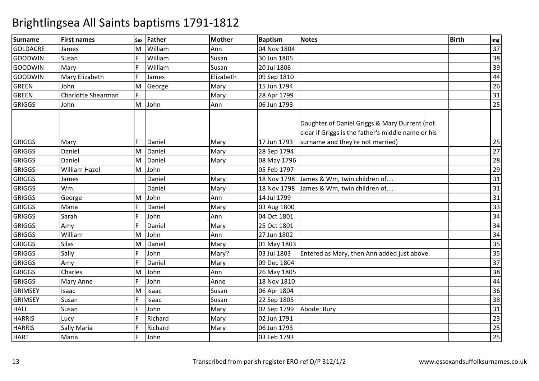| <b>Surname</b>  | <b>First names</b>   | Sex | <b>Father</b> | <b>Mother</b> | <b>Baptism</b> | Notes                                                                                               | <b>Birth</b> | Img             |
|-----------------|----------------------|-----|---------------|---------------|----------------|-----------------------------------------------------------------------------------------------------|--------------|-----------------|
| <b>GOLDACRE</b> | James                | M   | William       | Ann           | 04 Nov 1804    |                                                                                                     |              | 37              |
| <b>GOODWIN</b>  | Susan                |     | William       | Susan         | 30 Jun 1805    |                                                                                                     |              | 38              |
| GOODWIN         | Mary                 |     | William       | Susan         | 20 Jul 1806    |                                                                                                     |              | 39              |
| <b>GOODWIN</b>  | Mary Elizabeth       |     | James         | Elizabeth     | 09 Sep 1810    |                                                                                                     |              | 44              |
| <b>GREEN</b>    | John                 | M   | George        | Mary          | 15 Jun 1794    |                                                                                                     |              | $\overline{26}$ |
| <b>GREEN</b>    | Charlotte Shearman   | F   |               | Mary          | 28 Apr 1799    |                                                                                                     |              | 31              |
| <b>GRIGGS</b>   | John                 | M   | John          | Ann           | 06 Jun 1793    |                                                                                                     |              | 25              |
|                 |                      |     |               |               |                | Daughter of Daniel Griggs & Mary Durrent (not<br>clear if Griggs is the father's middle name or his |              |                 |
| <b>GRIGGS</b>   | Mary                 | F   | Daniel        | Mary          | 17 Jun 1793    | surname and they're not married)                                                                    |              | 25              |
| <b>GRIGGS</b>   | Daniel               | M   | Daniel        | Mary          | 28 Sep 1794    |                                                                                                     |              | $\overline{27}$ |
| <b>GRIGGS</b>   | Daniel               | M   | Daniel        | Mary          | 08 May 1796    |                                                                                                     |              | $\overline{28}$ |
| <b>GRIGGS</b>   | <b>William Hazel</b> | M   | John          |               | 05 Feb 1797    |                                                                                                     |              | 29              |
| <b>GRIGGS</b>   | James                |     | Daniel        | Mary          | 18 Nov 1798    | James & Wm, twin children of                                                                        |              | 31              |
| <b>GRIGGS</b>   | Wm.                  |     | Daniel        | Mary          | 18 Nov 1798    | James & Wm, twin children of                                                                        |              | $\overline{31}$ |
| <b>GRIGGS</b>   | George               | M   | John          | Ann           | 14 Jul 1799    |                                                                                                     |              | $\overline{31}$ |
| <b>GRIGGS</b>   | Maria                | F   | Daniel        | Mary          | 03 Aug 1800    |                                                                                                     |              | 33              |
| <b>GRIGGS</b>   | Sarah                | F   | John          | Ann           | 04 Oct 1801    |                                                                                                     |              | 34              |
| <b>GRIGGS</b>   | Amy                  | F   | Daniel        | Mary          | 25 Oct 1801    |                                                                                                     |              | $\overline{34}$ |
| <b>GRIGGS</b>   | William              | M   | John          | Ann           | 27 Jun 1802    |                                                                                                     |              | 34              |
| <b>GRIGGS</b>   | Silas                | M   | Daniel        | Mary          | 01 May 1803    |                                                                                                     |              | 35              |
| <b>GRIGGS</b>   | Sally                |     | John          | Mary?         | 03 Jul 1803    | Entered as Mary, then Ann added just above.                                                         |              | 35              |
| <b>GRIGGS</b>   | Amy                  | F   | Daniel        | Mary          | 09 Dec 1804    |                                                                                                     |              | $\overline{37}$ |
| <b>GRIGGS</b>   | Charles              | M   | John          | Ann           | 26 May 1805    |                                                                                                     |              | 38              |
| <b>GRIGGS</b>   | Mary Anne            | F   | John          | Anne          | 18 Nov 1810    |                                                                                                     |              | 44              |
| <b>GRIMSEY</b>  | Isaac                | M   | Isaac         | Susan         | 06 Apr 1804    |                                                                                                     |              | $\overline{36}$ |
| <b>GRIMSEY</b>  | Susan                | F   | Isaac         | Susan         | 22 Sep 1805    |                                                                                                     |              | $\overline{38}$ |
| <b>HALL</b>     | Susan                | E   | John          | Mary          | 02 Sep 1799    | Abode: Bury                                                                                         |              | $\overline{31}$ |
| <b>HARRIS</b>   | Lucy                 | F   | Richard       | Mary          | 02 Jun 1791    |                                                                                                     |              | $\overline{23}$ |
| <b>HARRIS</b>   | Sally Maria          |     | Richard       | Mary          | 06 Jun 1793    |                                                                                                     |              | $\overline{25}$ |
| <b>HART</b>     | Maria                | F   | John          |               | 03 Feb 1793    |                                                                                                     |              | $\overline{25}$ |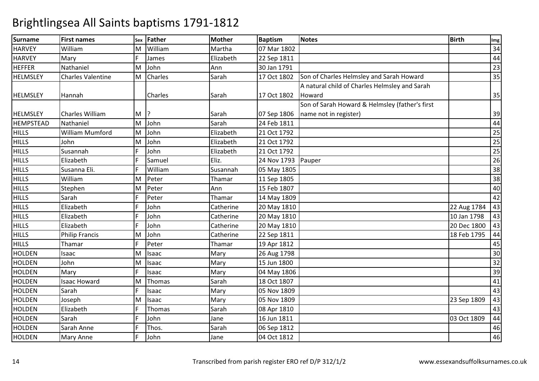| <b>Surname</b>   | <b>First names</b>       | <b>Sex</b> | <b>Father</b> | <b>Mother</b> | <b>Baptism</b> | <b>Notes</b>                                   | <b>Birth</b> | Img             |
|------------------|--------------------------|------------|---------------|---------------|----------------|------------------------------------------------|--------------|-----------------|
| <b>HARVEY</b>    | William                  | M          | William       | Martha        | 07 Mar 1802    |                                                |              | 34              |
| <b>HARVEY</b>    | Mary                     | F.         | James         | Elizabeth     | 22 Sep 1811    |                                                |              | 44              |
| <b>HEFFER</b>    | Nathaniel                | M          | John          | Ann           | 30 Jan 1791    |                                                |              | 23              |
| <b>HELMSLEY</b>  | <b>Charles Valentine</b> | M          | Charles       | Sarah         | 17 Oct 1802    | Son of Charles Helmsley and Sarah Howard       |              | 35              |
|                  |                          |            |               |               |                | A natural child of Charles Helmsley and Sarah  |              |                 |
| <b>HELMSLEY</b>  | Hannah                   |            | Charles       | Sarah         | 17 Oct 1802    | Howard                                         |              | 35              |
|                  |                          |            |               |               |                | Son of Sarah Howard & Helmsley (father's first |              |                 |
| <b>HELMSLEY</b>  | Charles William          | M          |               | Sarah         | 07 Sep 1806    | name not in register)                          |              | 39              |
| <b>HEMPSTEAD</b> | Nathaniel                | M          | John          | Sarah         | 24 Feb 1811    |                                                |              | 44              |
| <b>HILLS</b>     | <b>William Mumford</b>   | M          | John          | Elizabeth     | 21 Oct 1792    |                                                |              | 25              |
| <b>HILLS</b>     | John                     | M          | John          | Elizabeth     | 21 Oct 1792    |                                                |              | 25              |
| <b>HILLS</b>     | Susannah                 | F          | John          | Elizabeth     | 21 Oct 1792    |                                                |              | $\overline{25}$ |
| <b>HILLS</b>     | Elizabeth                | F.         | Samuel        | Eliz.         | 24 Nov 1793    | Pauper                                         |              | $\overline{26}$ |
| <b>HILLS</b>     | Susanna Eli.             | F          | William       | Susannah      | 05 May 1805    |                                                |              | 38              |
| <b>HILLS</b>     | William                  | M          | Peter         | Thamar        | 11 Sep 1805    |                                                |              | 38              |
| <b>HILLS</b>     | Stephen                  | M          | Peter         | Ann           | 15 Feb 1807    |                                                |              | 40              |
| <b>HILLS</b>     | Sarah                    | F          | Peter         | Thamar        | 14 May 1809    |                                                |              | 42              |
| <b>HILLS</b>     | Elizabeth                | E          | John          | Catherine     | 20 May 1810    |                                                | 22 Aug 1784  | 43              |
| <b>HILLS</b>     | Elizabeth                | F          | John          | Catherine     | 20 May 1810    |                                                | 10 Jan 1798  | 43              |
| <b>HILLS</b>     | Elizabeth                | F          | John          | Catherine     | 20 May 1810    |                                                | 20 Dec 1800  | 43              |
| <b>HILLS</b>     | <b>Philip Francis</b>    | M          | John          | Catherine     | 22 Sep 1811    |                                                | 18 Feb 1795  | 44              |
| <b>HILLS</b>     | Thamar                   | F          | Peter         | Thamar        | 19 Apr 1812    |                                                |              | 45              |
| <b>HOLDEN</b>    | Isaac                    | M          | Isaac         | Mary          | 26 Aug 1798    |                                                |              | 30              |
| <b>HOLDEN</b>    | John                     | M          | Isaac         | Mary          | 15 Jun 1800    |                                                |              | $\overline{32}$ |
| <b>HOLDEN</b>    | Mary                     | F.         | Isaac         | Mary          | 04 May 1806    |                                                |              | 39              |
| <b>HOLDEN</b>    | <b>Isaac Howard</b>      | M          | Thomas        | Sarah         | 18 Oct 1807    |                                                |              | 41              |
| <b>HOLDEN</b>    | Sarah                    | F          | Isaac         | Mary          | 05 Nov 1809    |                                                |              | 43              |
| <b>HOLDEN</b>    | Joseph                   | M          | Isaac         | Mary          | 05 Nov 1809    |                                                | 23 Sep 1809  | 43              |
| <b>HOLDEN</b>    | Elizabeth                | F          | Thomas        | Sarah         | 08 Apr 1810    |                                                |              | 43              |
| <b>HOLDEN</b>    | Sarah                    | Ē          | John          | Jane          | 16 Jun 1811    |                                                | 03 Oct 1809  | 44              |
| <b>HOLDEN</b>    | Sarah Anne               |            | Thos.         | Sarah         | 06 Sep 1812    |                                                |              | 46              |
| <b>HOLDEN</b>    | Mary Anne                |            | John          | Jane          | 04 Oct 1812    |                                                |              | 46              |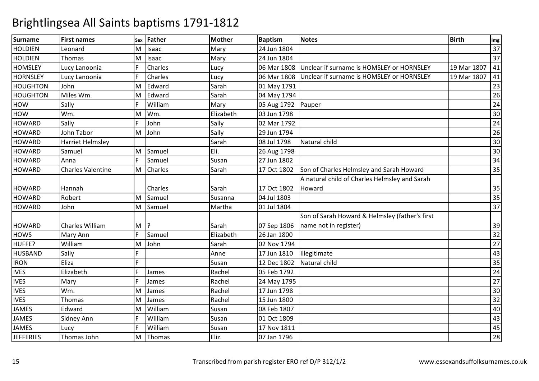| Surname          | <b>First names</b>       | Sex | Father         | <b>Mother</b> | <b>Baptism</b> | <b>Notes</b>                                   | <b>Birth</b> | Img             |
|------------------|--------------------------|-----|----------------|---------------|----------------|------------------------------------------------|--------------|-----------------|
| <b>HOLDIEN</b>   | Leonard                  | M   | Isaac          | Mary          | 24 Jun 1804    |                                                |              | $\overline{37}$ |
| <b>HOLDIEN</b>   | Thomas                   | M   | Isaac          | Mary          | 24 Jun 1804    |                                                |              | 37              |
| <b>HOMSLEY</b>   | Lucy Lanoonia            |     | <b>Charles</b> | Lucy          | 06 Mar 1808    | Unclear if surname is HOMSLEY or HORNSLEY      | 19 Mar 1807  | 41              |
| <b>HORNSLEY</b>  | Lucy Lanoonia            |     | Charles        | Lucy          | 06 Mar 1808    | Unclear if surname is HOMSLEY or HORNSLEY      | 19 Mar 1807  | 41              |
| <b>HOUGHTON</b>  | John                     | M   | Edward         | Sarah         | 01 May 1791    |                                                |              | 23              |
| <b>HOUGHTON</b>  | Miles Wm.                | M   | Edward         | Sarah         | 04 May 1794    |                                                |              | 26              |
| <b>HOW</b>       | Sally                    |     | William        | Mary          | 05 Aug 1792    | Pauper                                         |              | 24              |
| <b>HOW</b>       | Wm.                      | M   | Wm.            | Elizabeth     | 03 Jun 1798    |                                                |              | 30              |
| <b>HOWARD</b>    | Sally                    |     | John           | Sally         | 02 Mar 1792    |                                                |              | 24              |
| <b>HOWARD</b>    | John Tabor               | M   | John           | Sally         | 29 Jun 1794    |                                                |              | $\overline{26}$ |
| <b>HOWARD</b>    | <b>Harriet Helmsley</b>  |     |                | Sarah         | 08 Jul 1798    | Natural child                                  |              | 30              |
| <b>HOWARD</b>    | Samuel                   | M   | Samuel         | Eli.          | 26 Aug 1798    |                                                |              | 30              |
| <b>HOWARD</b>    | Anna                     | F.  | Samuel         | Susan         | 27 Jun 1802    |                                                |              | 34              |
| <b>HOWARD</b>    | <b>Charles Valentine</b> | M   | Charles        | Sarah         | 17 Oct 1802    | Son of Charles Helmsley and Sarah Howard       |              | 35              |
|                  |                          |     |                |               |                | A natural child of Charles Helmsley and Sarah  |              |                 |
| <b>HOWARD</b>    | Hannah                   |     | <b>Charles</b> | Sarah         | 17 Oct 1802    | Howard                                         |              | 35              |
| <b>HOWARD</b>    | Robert                   | M   | Samuel         | Susanna       | 04 Jul 1803    |                                                |              | 35              |
| <b>HOWARD</b>    | John                     | M   | Samuel         | Martha        | 01 Jul 1804    |                                                |              | 37              |
|                  |                          |     |                |               |                | Son of Sarah Howard & Helmsley (father's first |              |                 |
| <b>HOWARD</b>    | <b>Charles William</b>   | M   |                | Sarah         | 07 Sep 1806    | name not in register)                          |              | 39              |
| <b>HOWS</b>      | Mary Ann                 | F.  | Samuel         | Elizabeth     | 26 Jan 1800    |                                                |              | 32              |
| HUFFE?           | William                  | M   | John           | Sarah         | 02 Nov 1794    |                                                |              | 27              |
| <b>HUSBAND</b>   | Sally                    | Ë   |                | Anne          | 17 Jun 1810    | Illegitimate                                   |              | 43              |
| <b>IRON</b>      | Eliza                    | Ė   |                | Susan         | 12 Dec 1802    | Natural child                                  |              | $\overline{35}$ |
| <b>IVES</b>      | Elizabeth                |     | James          | Rachel        | 05 Feb 1792    |                                                |              | 24              |
| <b>IVES</b>      | Mary                     |     | James          | Rachel        | 24 May 1795    |                                                |              | 27              |
| <b>IVES</b>      | Wm.                      | M   | James          | Rachel        | 17 Jun 1798    |                                                |              | 30              |
| <b>IVES</b>      | Thomas                   | M   | James          | Rachel        | 15 Jun 1800    |                                                |              | 32              |
| <b>JAMES</b>     | Edward                   | M   | William        | Susan         | 08 Feb 1807    |                                                |              | 40              |
| <b>JAMES</b>     | Sidney Ann               |     | William        | Susan         | 01 Oct 1809    |                                                |              | 43              |
| <b>JAMES</b>     | Lucy                     |     | William        | Susan         | 17 Nov 1811    |                                                |              | 45              |
| <b>JEFFERIES</b> | Thomas John              | M   | Thomas         | Eliz.         | 07 Jan 1796    |                                                |              | 28              |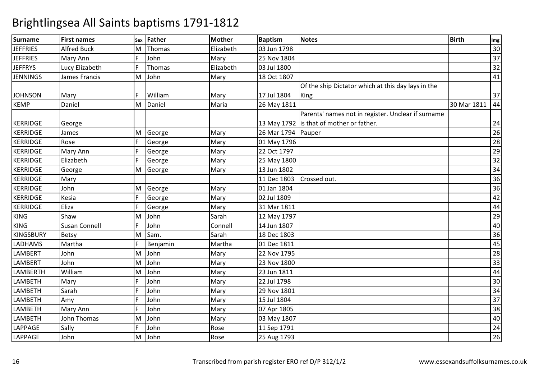| <b>Surname</b>   | <b>First names</b>   | <b>Sex</b> | <b>Father</b> | <b>Mother</b> | <b>Baptism</b>     | <b>Notes</b>                                       | <b>Birth</b> | Img             |
|------------------|----------------------|------------|---------------|---------------|--------------------|----------------------------------------------------|--------------|-----------------|
| <b>JEFFRIES</b>  | <b>Alfred Buck</b>   | M          | Thomas        | Elizabeth     | 03 Jun 1798        |                                                    |              | 30              |
| <b>JEFFRIES</b>  | Mary Ann             | F.         | John          | Mary          | 25 Nov 1804        |                                                    |              | 37              |
| <b>JEFFRYS</b>   | Lucy Elizabeth       | F.         | Thomas        | Elizabeth     | 03 Jul 1800        |                                                    |              | 32              |
| <b>JENNINGS</b>  | James Francis        | M          | John          | Mary          | 18 Oct 1807        |                                                    |              | $\overline{41}$ |
|                  |                      |            |               |               |                    | Of the ship Dictator which at this day lays in the |              |                 |
| <b>JOHNSON</b>   | Mary                 | F          | William       | Mary          | 17 Jul 1804        | King                                               |              | 37              |
| <b>KEMP</b>      | Daniel               | M          | Daniel        | Maria         | 26 May 1811        |                                                    | 30 Mar 1811  | 44              |
|                  |                      |            |               |               |                    | Parents' names not in register. Unclear if surname |              |                 |
| <b>KERRIDGE</b>  | George               |            |               |               |                    | 13 May 1792 is that of mother or father.           |              | 24              |
| <b>KERRIDGE</b>  | James                | M          | George        | Mary          | 26 Mar 1794 Pauper |                                                    |              | 26              |
| <b>KERRIDGE</b>  | Rose                 | F          | George        | Mary          | 01 May 1796        |                                                    |              | 28              |
| <b>KERRIDGE</b>  | Mary Ann             | F          | George        | Mary          | 22 Oct 1797        |                                                    |              | $\overline{29}$ |
| <b>KERRIDGE</b>  | Elizabeth            | F          | George        | Mary          | 25 May 1800        |                                                    |              | $\overline{32}$ |
| <b>KERRIDGE</b>  | George               | M          | George        | Mary          | 13 Jun 1802        |                                                    |              | 34              |
| <b>KERRIDGE</b>  | Mary                 |            |               |               | 11 Dec 1803        | Crossed out.                                       |              | 36              |
| <b>KERRIDGE</b>  | John                 | M          | George        | Mary          | 01 Jan 1804        |                                                    |              | 36              |
| <b>KERRIDGE</b>  | Kesia                | F          | George        | Mary          | 02 Jul 1809        |                                                    |              | 42              |
| <b>KERRIDGE</b>  | Eliza                | F.         | George        | Mary          | 31 Mar 1811        |                                                    |              | 44              |
| <b>KING</b>      | Shaw                 | M          | John          | Sarah         | 12 May 1797        |                                                    |              | 29              |
| <b>KING</b>      | <b>Susan Connell</b> |            | John          | Connell       | 14 Jun 1807        |                                                    |              | 40              |
| <b>KINGSBURY</b> | Betsy                | M          | Sam.          | Sarah         | 18 Dec 1803        |                                                    |              | 36              |
| LADHAMS          | Martha               | F          | Benjamin      | Martha        | 01 Dec 1811        |                                                    |              | 45              |
| <b>LAMBERT</b>   | John                 | M          | John          | Mary          | 22 Nov 1795        |                                                    |              | 28              |
| <b>LAMBERT</b>   | John                 | M          | John          | Mary          | 23 Nov 1800        |                                                    |              | $\overline{33}$ |
| <b>LAMBERTH</b>  | William              | M          | John          | Mary          | 23 Jun 1811        |                                                    |              | 44              |
| <b>LAMBETH</b>   | Mary                 | F.         | John          | Mary          | 22 Jul 1798        |                                                    |              | 30              |
| <b>LAMBETH</b>   | Sarah                | F          | John          | Mary          | 29 Nov 1801        |                                                    |              | $\overline{34}$ |
| <b>LAMBETH</b>   | Amy                  | F          | John          | Mary          | 15 Jul 1804        |                                                    |              | $\overline{37}$ |
| LAMBETH          | Mary Ann             | F          | John          | Mary          | 07 Apr 1805        |                                                    |              | $\overline{38}$ |
| <b>LAMBETH</b>   | John Thomas          | M          | John          | Mary          | 03 May 1807        |                                                    |              | 40              |
| <b>LAPPAGE</b>   | Sally                | F.         | John          | Rose          | 11 Sep 1791        |                                                    |              | 24              |
| <b>LAPPAGE</b>   | John                 | M          | John          | Rose          | 25 Aug 1793        |                                                    |              | $\overline{26}$ |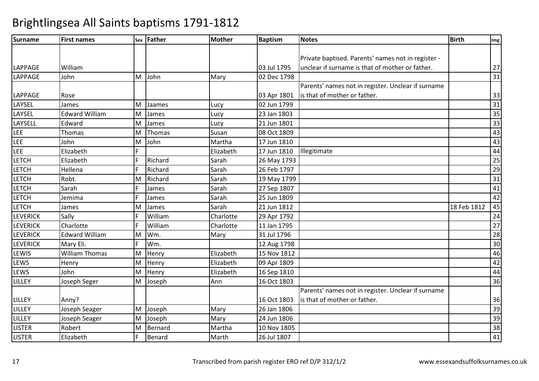| <b>Surname</b>  | <b>First names</b>    |    | sex Father | <b>Mother</b> | <b>Baptism</b> | <b>Notes</b>                                       | <b>Birth</b> | Img             |
|-----------------|-----------------------|----|------------|---------------|----------------|----------------------------------------------------|--------------|-----------------|
|                 |                       |    |            |               |                |                                                    |              |                 |
|                 |                       |    |            |               |                | Private baptised. Parents' names not in register - |              |                 |
| LAPPAGE         | William               |    |            |               | 03 Jul 1795    | unclear if surname is that of mother or father.    |              | 27              |
| LAPPAGE         | John                  | M  | John       | Mary          | 02 Dec 1798    |                                                    |              | 31              |
|                 |                       |    |            |               |                | Parents' names not in register. Unclear if surname |              |                 |
| LAPPAGE         | Rose                  |    |            |               | 03 Apr 1801    | is that of mother or father.                       |              | 33              |
| LAYSEL          | James                 | M  | Jaames     | Lucy          | 02 Jun 1799    |                                                    |              | 31              |
| LAYSEL          | <b>Edward William</b> | M  | James      | Lucy          | 23 Jan 1803    |                                                    |              | 35              |
| LAYSELL         | Edward                | M  | James      | Lucy          | 21 Jun 1801    |                                                    |              | $\overline{33}$ |
| LEE             | Thomas                | M  | Thomas     | Susan         | 08 Oct 1809    |                                                    |              | 43              |
| LEE             | John                  | M  | John       | Martha        | 17 Jun 1810    |                                                    |              | 43              |
| LEE             | Elizabeth             | F  |            | Elizabeth     | 17 Jun 1810    | Illegitimate                                       |              | 44              |
| <b>LETCH</b>    | Elizabeth             | F. | Richard    | Sarah         | 26 May 1793    |                                                    |              | $\overline{25}$ |
| <b>LETCH</b>    | Hellena               | F  | Richard    | Sarah         | 26 Feb 1797    |                                                    |              | 29              |
| <b>LETCH</b>    | Robt.                 | M  | Richard    | Sarah         | 19 May 1799    |                                                    |              | 31              |
| <b>LETCH</b>    | Sarah                 |    | James      | Sarah         | 27 Sep 1807    |                                                    |              | 41              |
| <b>LETCH</b>    | Jemima                | F  | James      | Sarah         | 25 Jun 1809    |                                                    |              | 42              |
| <b>LETCH</b>    | James                 | м  | James      | Sarah         | 21 Jun 1812    |                                                    | 18 Feb 1812  | 45              |
| <b>LEVERICK</b> | Sally                 |    | William    | Charlotte     | 29 Apr 1792    |                                                    |              | 24              |
| <b>LEVERICK</b> | Charlotte             | F  | William    | Charlotte     | 11 Jan 1795    |                                                    |              | 27              |
| <b>LEVERICK</b> | <b>Edward William</b> | M  | Wm.        | Mary          | 31 Jul 1796    |                                                    |              | 28              |
| <b>LEVERICK</b> | Mary Eli.             | F  | Wm.        |               | 12 Aug 1798    |                                                    |              | 30              |
| LEWIS           | <b>William Thomas</b> | M  | Henry      | Elizabeth     | 15 Nov 1812    |                                                    |              | 46              |
| LEWS            | Henry                 | M  | Henry      | Elizabeth     | 09 Apr 1809    |                                                    |              | 42              |
| LEWS            | John                  | M  | Henry      | Elizabeth     | 16 Sep 1810    |                                                    |              | 44              |
| LILLEY          | Joseph Seger          | M  | Joseph     | Ann           | 16 Oct 1803    |                                                    |              | 36              |
|                 |                       |    |            |               |                | Parents' names not in register. Unclear if surname |              |                 |
| <b>LILLEY</b>   | Anny?                 |    |            |               | 16 Oct 1803    | is that of mother or father.                       |              | 36              |
| <b>LILLEY</b>   | Joseph Seager         | M  | Joseph     | Mary          | 26 Jan 1806    |                                                    |              | 39              |
| LILLEY          | Joseph Seager         | M  | Joseph     | Mary          | 24 Jun 1806    |                                                    |              | 39              |
| <b>LISTER</b>   | Robert                | M  | Bernard    | Martha        | 10 Nov 1805    |                                                    |              | $\overline{38}$ |
| <b>LISTER</b>   | Elizabeth             | F  | Benard     | Marth         | 26 Jul 1807    |                                                    |              | 41              |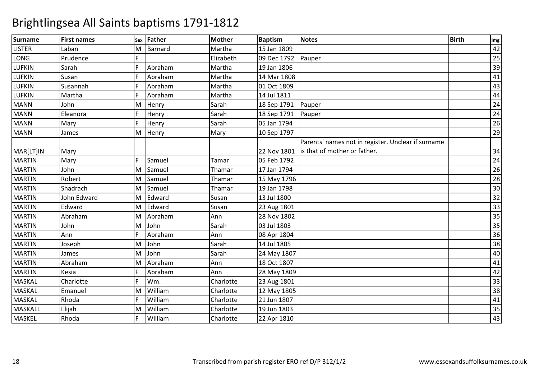| <b>Surname</b> | <b>First names</b> | Sex | <b>Father</b> | <b>Mother</b> | <b>Baptism</b> | <b>Notes</b>                                       | <b>Birth</b> | Img |
|----------------|--------------------|-----|---------------|---------------|----------------|----------------------------------------------------|--------------|-----|
| <b>LISTER</b>  | Laban              | M   | Barnard       | Martha        | 15 Jan 1809    |                                                    |              | 42  |
| LONG           | Prudence           |     |               | Elizabeth     | 09 Dec 1792    | Pauper                                             |              | 25  |
| <b>LUFKIN</b>  | Sarah              | F   | Abraham       | Martha        | 19 Jan 1806    |                                                    |              | 39  |
| <b>LUFKIN</b>  | Susan              |     | Abraham       | Martha        | 14 Mar 1808    |                                                    |              | 41  |
| <b>LUFKIN</b>  | Susannah           |     | Abraham       | Martha        | 01 Oct 1809    |                                                    |              | 43  |
| <b>LUFKIN</b>  | Martha             |     | Abraham       | Martha        | 14 Jul 1811    |                                                    |              | 44  |
| <b>MANN</b>    | John               | м   | Henry         | Sarah         | 18 Sep 1791    | Pauper                                             |              | 24  |
| <b>MANN</b>    | Eleanora           | F.  | Henry         | Sarah         | 18 Sep 1791    | Pauper                                             |              | 24  |
| <b>MANN</b>    | Mary               | F   | Henry         | Sarah         | 05 Jan 1794    |                                                    |              | 26  |
| <b>MANN</b>    | James              | M   | Henry         | Mary          | 10 Sep 1797    |                                                    |              | 29  |
|                |                    |     |               |               |                | Parents' names not in register. Unclear if surname |              |     |
| MAR[LT]IN      | Mary               |     |               |               | 22 Nov 1801    | is that of mother or father.                       |              | 34  |
| <b>MARTIN</b>  | Mary               | F   | Samuel        | Tamar         | 05 Feb 1792    |                                                    |              | 24  |
| <b>MARTIN</b>  | John               | M   | Samuel        | Thamar        | 17 Jan 1794    |                                                    |              | 26  |
| <b>MARTIN</b>  | Robert             | м   | Samuel        | Thamar        | 15 May 1796    |                                                    |              | 28  |
| <b>MARTIN</b>  | Shadrach           | м   | Samuel        | Thamar        | 19 Jan 1798    |                                                    |              | 30  |
| <b>MARTIN</b>  | John Edward        | м   | Edward        | Susan         | 13 Jul 1800    |                                                    |              | 32  |
| <b>MARTIN</b>  | Edward             | м   | Edward        | Susan         | 23 Aug 1801    |                                                    |              | 33  |
| <b>MARTIN</b>  | Abraham            | M   | Abraham       | Ann           | 28 Nov 1802    |                                                    |              | 35  |
| <b>MARTIN</b>  | John               | M   | John          | Sarah         | 03 Jul 1803    |                                                    |              | 35  |
| <b>MARTIN</b>  | Ann                |     | Abraham       | Ann           | 08 Apr 1804    |                                                    |              | 36  |
| <b>MARTIN</b>  | Joseph             | M   | John          | Sarah         | 14 Jul 1805    |                                                    |              | 38  |
| <b>MARTIN</b>  | James              | M   | John          | Sarah         | 24 May 1807    |                                                    |              | 40  |
| <b>MARTIN</b>  | Abraham            | M   | Abraham       | Ann           | 18 Oct 1807    |                                                    |              | 41  |
| <b>MARTIN</b>  | Kesia              |     | Abraham       | Ann           | 28 May 1809    |                                                    |              | 42  |
| <b>MASKAL</b>  | Charlotte          | F   | Wm.           | Charlotte     | 23 Aug 1801    |                                                    |              | 33  |
| <b>MASKAL</b>  | Emanuel            | м   | William       | Charlotte     | 12 May 1805    |                                                    |              | 38  |
| <b>MASKAL</b>  | Rhoda              |     | William       | Charlotte     | 21 Jun 1807    |                                                    |              | 41  |
| <b>MASKALL</b> | Elijah             | M   | William       | Charlotte     | 19 Jun 1803    |                                                    |              | 35  |
| <b>MASKEL</b>  | Rhoda              |     | William       | Charlotte     | 22 Apr 1810    |                                                    |              | 43  |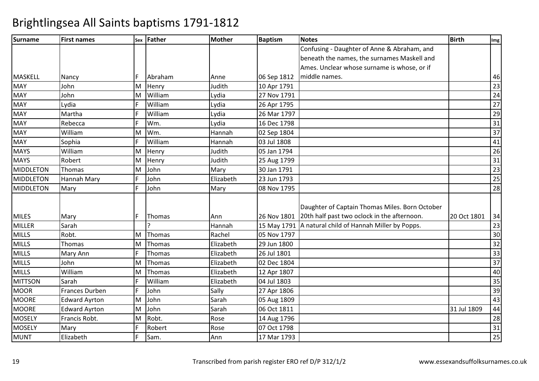| <b>Surname</b>   | <b>First names</b>   |    | sex Father    | <b>Mother</b> | <b>Baptism</b> | <b>Notes</b>                                   | <b>Birth</b> | Img             |
|------------------|----------------------|----|---------------|---------------|----------------|------------------------------------------------|--------------|-----------------|
|                  |                      |    |               |               |                | Confusing - Daughter of Anne & Abraham, and    |              |                 |
|                  |                      |    |               |               |                | beneath the names, the surnames Maskell and    |              |                 |
|                  |                      |    |               |               |                | Ames. Unclear whose surname is whose, or if    |              |                 |
| <b>MASKELL</b>   | Nancy                | F. | Abraham       | Anne          | 06 Sep 1812    | middle names.                                  |              | 46              |
| <b>MAY</b>       | John                 | M  | Henry         | Judith        | 10 Apr 1791    |                                                |              | 23              |
| <b>MAY</b>       | John                 | M  | William       | Lydia         | 27 Nov 1791    |                                                |              | 24              |
| <b>MAY</b>       | Lydia                | F  | William       | Lydia         | 26 Apr 1795    |                                                |              | 27              |
| <b>MAY</b>       | Martha               | F  | William       | Lydia         | 26 Mar 1797    |                                                |              | 29              |
| <b>MAY</b>       | Rebecca              | F. | Wm.           | Lydia         | 16 Dec 1798    |                                                |              | 31              |
| <b>MAY</b>       | William              | M  | Wm.           | Hannah        | 02 Sep 1804    |                                                |              | 37              |
| <b>MAY</b>       | Sophia               | F. | William       | Hannah        | 03 Jul 1808    |                                                |              | 41              |
| <b>MAYS</b>      | William              | M  | Henry         | Judith        | 05 Jan 1794    |                                                |              | 26              |
| <b>MAYS</b>      | Robert               | M  | Henry         | Judith        | 25 Aug 1799    |                                                |              | 31              |
| MIDDLETON        | Thomas               | M  | John          | Mary          | 30 Jan 1791    |                                                |              | 23              |
| <b>MIDDLETON</b> | Hannah Mary          | F. | John          | Elizabeth     | 23 Jun 1793    |                                                |              | 25              |
| MIDDLETON        | Mary                 | F  | John          | Mary          | 08 Nov 1795    |                                                |              | 28              |
|                  |                      |    |               |               |                |                                                |              |                 |
|                  |                      |    |               |               |                | Daughter of Captain Thomas Miles. Born October |              |                 |
| <b>MILES</b>     | Mary                 | F. | <b>Thomas</b> | Ann           | 26 Nov 1801    | 20th half past two oclock in the afternoon.    | 20 Oct 1801  | 34              |
| <b>MILLER</b>    | Sarah                |    |               | Hannah        | 15 May 1791    | A natural child of Hannah Miller by Popps.     |              | 23              |
| <b>MILLS</b>     | Robt.                | M  | Thomas        | Rachel        | 05 Nov 1797    |                                                |              | 30              |
| <b>MILLS</b>     | Thomas               | M  | Thomas        | Elizabeth     | 29 Jun 1800    |                                                |              | 32              |
| <b>MILLS</b>     | Mary Ann             |    | Thomas        | Elizabeth     | 26 Jul 1801    |                                                |              | 33              |
| <b>MILLS</b>     | John                 | M  | Thomas        | Elizabeth     | 02 Dec 1804    |                                                |              | $\overline{37}$ |
| <b>MILLS</b>     | William              | M  | Thomas        | Elizabeth     | 12 Apr 1807    |                                                |              | 40              |
| <b>MITTSON</b>   | Sarah                | F  | William       | Elizabeth     | 04 Jul 1803    |                                                |              | 35              |
| <b>MOOR</b>      | Frances Durben       | F. | John          | Sally         | 27 Apr 1806    |                                                |              | 39              |
| <b>MOORE</b>     | <b>Edward Ayrton</b> | M  | John          | Sarah         | 05 Aug 1809    |                                                |              | 43              |
| <b>MOORE</b>     | <b>Edward Ayrton</b> | M  | John          | Sarah         | 06 Oct 1811    |                                                | 31 Jul 1809  | 44              |
| <b>MOSELY</b>    | Francis Robt.        | M  | Robt.         | Rose          | 14 Aug 1796    |                                                |              | 28              |
| <b>MOSELY</b>    | Mary                 |    | Robert        | Rose          | 07 Oct 1798    |                                                |              | $\overline{31}$ |
| <b>MUNT</b>      | Elizabeth            | F. | Sam.          | Ann           | 17 Mar 1793    |                                                |              | $\overline{25}$ |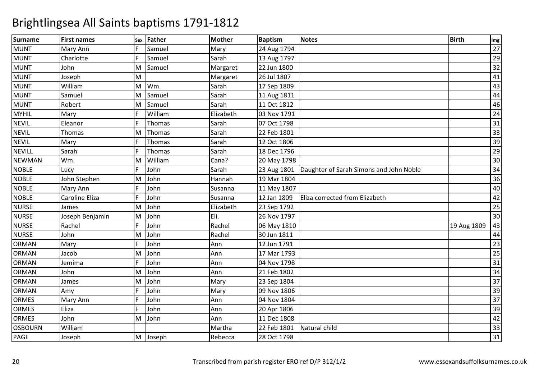| <b>Surname</b> | <b>First names</b> | Sex | Father  | <b>Mother</b> | <b>Baptism</b> | <b>Notes</b>                            | <b>Birth</b> | Img             |
|----------------|--------------------|-----|---------|---------------|----------------|-----------------------------------------|--------------|-----------------|
| <b>MUNT</b>    | Mary Ann           | F   | Samuel  | Mary          | 24 Aug 1794    |                                         |              | 27              |
| <b>MUNT</b>    | Charlotte          | F   | Samuel  | Sarah         | 13 Aug 1797    |                                         |              | 29              |
| <b>MUNT</b>    | John               | M   | Samuel  | Margaret      | 22 Jun 1800    |                                         |              | 32              |
| <b>MUNT</b>    | Joseph             | M   |         | Margaret      | 26 Jul 1807    |                                         |              | 41              |
| <b>MUNT</b>    | William            | M   | Wm.     | Sarah         | 17 Sep 1809    |                                         |              | 43              |
| <b>MUNT</b>    | Samuel             | M   | Samuel  | Sarah         | 11 Aug 1811    |                                         |              | 44              |
| <b>MUNT</b>    | Robert             | M   | Samuel  | Sarah         | 11 Oct 1812    |                                         |              | 46              |
| <b>MYHIL</b>   | Mary               |     | William | Elizabeth     | 03 Nov 1791    |                                         |              | 24              |
| <b>NEVIL</b>   | Eleanor            | F   | Thomas  | Sarah         | 07 Oct 1798    |                                         |              | $\overline{31}$ |
| <b>NEVIL</b>   | Thomas             | M   | Thomas  | Sarah         | 22 Feb 1801    |                                         |              | 33              |
| <b>NEVIL</b>   | Mary               | F   | Thomas  | Sarah         | 12 Oct 1806    |                                         |              | 39              |
| <b>NEVILL</b>  | Sarah              | F   | Thomas  | Sarah         | 18 Dec 1796    |                                         |              | $\overline{29}$ |
| <b>NEWMAN</b>  | Wm.                | м   | William | Cana?         | 20 May 1798    |                                         |              | 30              |
| <b>NOBLE</b>   | Lucy               | F   | John    | Sarah         | 23 Aug 1801    | Daughter of Sarah Simons and John Noble |              | 34              |
| <b>NOBLE</b>   | John Stephen       | M   | John    | Hannah        | 19 Mar 1804    |                                         |              | 36              |
| <b>NOBLE</b>   | Mary Ann           |     | John    | Susanna       | 11 May 1807    |                                         |              | 40              |
| <b>NOBLE</b>   | Caroline Eliza     | F   | John    | Susanna       | 12 Jan 1809    | Eliza corrected from Elizabeth          |              | 42              |
| <b>NURSE</b>   | James              | M   | John    | Elizabeth     | 23 Sep 1792    |                                         |              | 25              |
| <b>NURSE</b>   | Joseph Benjamin    | M   | John    | Eli.          | 26 Nov 1797    |                                         |              | 30              |
| <b>NURSE</b>   | Rachel             | F   | John    | Rachel        | 06 May 1810    |                                         | 19 Aug 1809  | 43              |
| <b>NURSE</b>   | John               | M   | John    | Rachel        | 30 Jun 1811    |                                         |              | 44              |
| <b>ORMAN</b>   | Mary               | F   | John    | Ann           | 12 Jun 1791    |                                         |              | 23              |
| <b>ORMAN</b>   | Jacob              | M   | John    | Ann           | 17 Mar 1793    |                                         |              | 25              |
| <b>ORMAN</b>   | Jemima             | F   | John    | Ann           | 04 Nov 1798    |                                         |              | 31              |
| <b>ORMAN</b>   | John               | M   | John    | Ann           | 21 Feb 1802    |                                         |              | 34              |
| <b>ORMAN</b>   | James              | M   | John    | Mary          | 23 Sep 1804    |                                         |              | 37              |
| <b>ORMAN</b>   | Amy                |     | John    | Mary          | 09 Nov 1806    |                                         |              | 39              |
| <b>ORMES</b>   | Mary Ann           | F   | John    | Ann           | 04 Nov 1804    |                                         |              | 37              |
| <b>ORMES</b>   | Eliza              |     | John    | Ann           | 20 Apr 1806    |                                         |              | 39              |
| <b>ORMES</b>   | John               | M   | John    | Ann           | 11 Dec 1808    |                                         |              | 42              |
| <b>OSBOURN</b> | William            |     |         | Martha        | 22 Feb 1801    | Natural child                           |              | 33              |
| PAGE           | Joseph             | M   | Joseph  | Rebecca       | 28 Oct 1798    |                                         |              | 31              |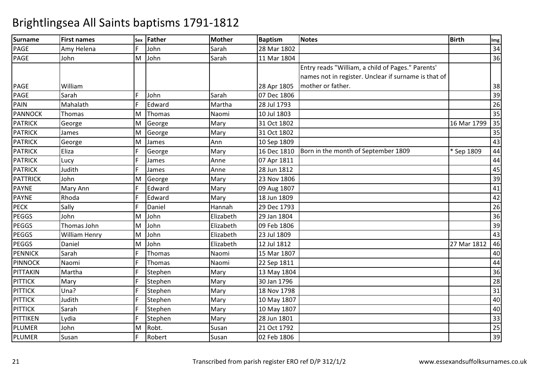| <b>Surname</b>  | <b>First names</b> | Sex | Father  | <b>Mother</b> | <b>Baptism</b> | <b>Notes</b>                                         | <b>Birth</b> | Img             |
|-----------------|--------------------|-----|---------|---------------|----------------|------------------------------------------------------|--------------|-----------------|
| <b>PAGE</b>     | Amy Helena         | F.  | John    | Sarah         | 28 Mar 1802    |                                                      |              | 34              |
| PAGE            | John               | M   | John    | Sarah         | 11 Mar 1804    |                                                      |              | 36              |
|                 |                    |     |         |               |                | Entry reads "William, a child of Pages." Parents'    |              |                 |
|                 |                    |     |         |               |                | names not in register. Unclear if surname is that of |              |                 |
| <b>PAGE</b>     | William            |     |         |               | 28 Apr 1805    | mother or father.                                    |              | 38              |
| <b>PAGE</b>     | Sarah              | F.  | John    | Sarah         | 07 Dec 1806    |                                                      |              | 39              |
| PAIN            | Mahalath           | F   | Edward  | Martha        | 28 Jul 1793    |                                                      |              | 26              |
| <b>PANNOCK</b>  | Thomas             | M   | Thomas  | Naomi         | 10 Jul 1803    |                                                      |              | 35              |
| <b>PATRICK</b>  | George             | M   | George  | Mary          | 31 Oct 1802    |                                                      | 16 Mar 1799  | 35              |
| <b>PATRICK</b>  | James              | M   | George  | Mary          | 31 Oct 1802    |                                                      |              | 35              |
| <b>PATRICK</b>  | George             | M   | James   | Ann           | 10 Sep 1809    |                                                      |              | 43              |
| <b>PATRICK</b>  | Eliza              |     | George  | Mary          | 16 Dec 1810    | Born in the month of September 1809                  | * Sep 1809   | 44              |
| <b>PATRICK</b>  | Lucy               | F   | James   | Anne          | 07 Apr 1811    |                                                      |              | 44              |
| <b>PATRICK</b>  | Judith             | Ē   | James   | Anne          | 28 Jun 1812    |                                                      |              | 45              |
| <b>PATTRICK</b> | John               | M   | George  | Mary          | 23 Nov 1806    |                                                      |              | 39              |
| <b>PAYNE</b>    | Mary Ann           |     | Edward  | Mary          | 09 Aug 1807    |                                                      |              | 41              |
| <b>PAYNE</b>    | Rhoda              | F.  | Edward  | Mary          | 18 Jun 1809    |                                                      |              | 42              |
| <b>PECK</b>     | Sally              | F   | Daniel  | Hannah        | 29 Dec 1793    |                                                      |              | 26              |
| <b>PEGGS</b>    | John               | M   | John    | Elizabeth     | 29 Jan 1804    |                                                      |              | 36              |
| <b>PEGGS</b>    | Thomas John        | M   | John    | Elizabeth     | 09 Feb 1806    |                                                      |              | 39              |
| <b>PEGGS</b>    | William Henry      | M   | John    | Elizabeth     | 23 Jul 1809    |                                                      |              | 43              |
| <b>PEGGS</b>    | Daniel             | M   | John    | Elizabeth     | 12 Jul 1812    |                                                      | 27 Mar 1812  | 46              |
| <b>PENNICK</b>  | Sarah              |     | Thomas  | Naomi         | 15 Mar 1807    |                                                      |              | 40              |
| <b>PINNOCK</b>  | Naomi              |     | Thomas  | Naomi         | 22 Sep 1811    |                                                      |              | 44              |
| PITTAKIN        | Martha             |     | Stephen | Mary          | 13 May 1804    |                                                      |              | 36              |
| <b>PITTICK</b>  | Mary               |     | Stephen | Mary          | 30 Jan 1796    |                                                      |              | 28              |
| <b>PITTICK</b>  | Una?               |     | Stephen | Mary          | 18 Nov 1798    |                                                      |              | $\overline{31}$ |
| <b>PITTICK</b>  | Judith             | F.  | Stephen | Mary          | 10 May 1807    |                                                      |              | 40              |
| <b>PITTICK</b>  | Sarah              | F   | Stephen | Mary          | 10 May 1807    |                                                      |              | 40              |
| PITTIKEN        | Lydia              | F.  | Stephen | Mary          | 28 Jun 1801    |                                                      |              | 33              |
| PLUMER          | John               | M   | Robt.   | Susan         | 21 Oct 1792    |                                                      |              | $\overline{25}$ |
| <b>PLUMER</b>   | Susan              | F.  | Robert  | Susan         | 02 Feb 1806    |                                                      |              | 39              |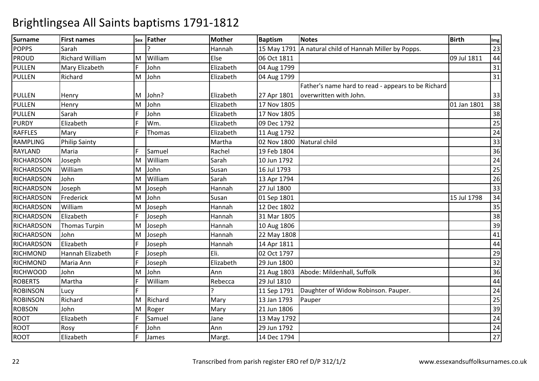| <b>Surname</b>    | <b>First names</b>     | Sex | <b>Father</b> | <b>Mother</b> | <b>Baptism</b> | <b>Notes</b>                                       | <b>Birth</b> | Img             |
|-------------------|------------------------|-----|---------------|---------------|----------------|----------------------------------------------------|--------------|-----------------|
| <b>POPPS</b>      | Sarah                  |     |               | Hannah        | 15 May 1791    | A natural child of Hannah Miller by Popps.         |              | 23              |
| <b>PROUD</b>      | <b>Richard William</b> | M   | William       | Else          | 06 Oct 1811    |                                                    | 09 Jul 1811  | 44              |
| <b>PULLEN</b>     | Mary Elizabeth         |     | John          | Elizabeth     | 04 Aug 1799    |                                                    |              | 31              |
| <b>PULLEN</b>     | Richard                | M   | John          | Elizabeth     | 04 Aug 1799    |                                                    |              | 31              |
|                   |                        |     |               |               |                | Father's name hard to read - appears to be Richard |              |                 |
| <b>PULLEN</b>     | Henry                  | M   | John?         | Elizabeth     | 27 Apr 1801    | overwritten with John.                             |              | 33              |
| PULLEN            | Henry                  | M   | John          | Elizabeth     | 17 Nov 1805    |                                                    | 01 Jan 1801  | 38              |
| PULLEN            | Sarah                  | F.  | John          | Elizabeth     | 17 Nov 1805    |                                                    |              | 38              |
| <b>PURDY</b>      | Elizabeth              | E   | Wm.           | Elizabeth     | 09 Dec 1792    |                                                    |              | 25              |
| <b>RAFFLES</b>    | Mary                   | F   | Thomas        | Elizabeth     | 11 Aug 1792    |                                                    |              | 24              |
| <b>RAMPLING</b>   | <b>Philip Sainty</b>   |     |               | Martha        | 02 Nov 1800    | Natural child                                      |              | 33              |
| <b>RAYLAND</b>    | Maria                  | F   | Samuel        | Rachel        | 19 Feb 1804    |                                                    |              | 36              |
| RICHARDSON        | Joseph                 | M   | William       | Sarah         | 10 Jun 1792    |                                                    |              | $\overline{24}$ |
| <b>RICHARDSON</b> | William                | M   | John          | Susan         | 16 Jul 1793    |                                                    |              | 25              |
| <b>RICHARDSON</b> | John                   | M   | William       | Sarah         | 13 Apr 1794    |                                                    |              | $\overline{26}$ |
| <b>RICHARDSON</b> | Joseph                 | M   | Joseph        | Hannah        | 27 Jul 1800    |                                                    |              | 33              |
| <b>RICHARDSON</b> | Frederick              | M   | John          | Susan         | 01 Sep 1801    |                                                    | 15 Jul 1798  | 34              |
| <b>RICHARDSON</b> | William                | M   | Joseph        | Hannah        | 12 Dec 1802    |                                                    |              | 35              |
| <b>RICHARDSON</b> | Elizabeth              |     | Joseph        | Hannah        | 31 Mar 1805    |                                                    |              | $\overline{38}$ |
| <b>RICHARDSON</b> | <b>Thomas Turpin</b>   | M   | Joseph        | Hannah        | 10 Aug 1806    |                                                    |              | 39              |
| <b>RICHARDSON</b> | John                   | M   | Joseph        | Hannah        | 22 May 1808    |                                                    |              | 41              |
| <b>RICHARDSON</b> | Elizabeth              | F   | Joseph        | Hannah        | 14 Apr 1811    |                                                    |              | 44              |
| <b>RICHMOND</b>   | Hannah Elizabeth       | F   | Joseph        | Eli.          | 02 Oct 1797    |                                                    |              | 29              |
| <b>RICHMOND</b>   | Maria Ann              | F.  | Joseph        | Elizabeth     | 29 Jun 1800    |                                                    |              | 32              |
| <b>RICHWOOD</b>   | John                   | M   | John          | Ann           | 21 Aug 1803    | Abode: Mildenhall, Suffolk                         |              | 36              |
| <b>ROBERTS</b>    | Martha                 | F   | William       | Rebecca       | 29 Jul 1810    |                                                    |              | 44              |
| <b>ROBINSON</b>   | Lucy                   | F   |               |               | 11 Sep 1791    | Daughter of Widow Robinson. Pauper.                |              | 24              |
| <b>ROBINSON</b>   | Richard                | M   | Richard       | Mary          | 13 Jan 1793    | Pauper                                             |              | $\overline{25}$ |
| <b>ROBSON</b>     | John                   | M   | Roger         | Mary          | 21 Jun 1806    |                                                    |              | 39              |
| <b>ROOT</b>       | Elizabeth              | F   | Samuel        | Jane          | 13 May 1792    |                                                    |              | 24              |
| <b>ROOT</b>       | Rosy                   | F   | John          | Ann           | 29 Jun 1792    |                                                    |              | $\overline{24}$ |
| <b>ROOT</b>       | Elizabeth              | F   | James         | Margt.        | 14 Dec 1794    |                                                    |              | 27              |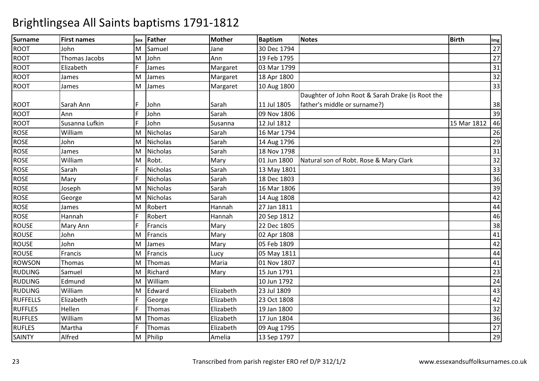| <b>Surname</b>  | <b>First names</b> | Sex | Father          | <b>Mother</b> | <b>Baptism</b> | Notes                                            | <b>Birth</b> | Img             |
|-----------------|--------------------|-----|-----------------|---------------|----------------|--------------------------------------------------|--------------|-----------------|
| <b>ROOT</b>     | John               | M   | Samuel          | Jane          | 30 Dec 1794    |                                                  |              | $\overline{27}$ |
| <b>ROOT</b>     | Thomas Jacobs      | M   | John            | Ann           | 19 Feb 1795    |                                                  |              | 27              |
| <b>ROOT</b>     | Elizabeth          |     | James           | Margaret      | 03 Mar 1799    |                                                  |              | 31              |
| <b>ROOT</b>     | James              | M   | James           | Margaret      | 18 Apr 1800    |                                                  |              | 32              |
| <b>ROOT</b>     | James              | M   | James           | Margaret      | 10 Aug 1800    |                                                  |              | 33              |
|                 |                    |     |                 |               |                | Daughter of John Root & Sarah Drake (is Root the |              |                 |
| <b>ROOT</b>     | Sarah Ann          | F   | John            | Sarah         | 11 Jul 1805    | father's middle or surname?)                     |              | 38              |
| <b>ROOT</b>     | Ann                |     | John            | Sarah         | 09 Nov 1806    |                                                  |              | 39              |
| <b>ROOT</b>     | Susanna Lufkin     | F.  | John            | Susanna       | 12 Jul 1812    |                                                  | 15 Mar 1812  | 46              |
| <b>ROSE</b>     | William            | M   | Nicholas        | Sarah         | 16 Mar 1794    |                                                  |              | 26              |
| <b>ROSE</b>     | John               | M   | <b>Nicholas</b> | Sarah         | 14 Aug 1796    |                                                  |              | 29              |
| <b>ROSE</b>     | James              | M   | Nicholas        | Sarah         | 18 Nov 1798    |                                                  |              | 31              |
| <b>ROSE</b>     | William            | M   | Robt.           | Mary          | 01 Jun 1800    | Natural son of Robt. Rose & Mary Clark           |              | 32              |
| <b>ROSE</b>     | Sarah              | E   | Nicholas        | Sarah         | 13 May 1801    |                                                  |              | 33              |
| <b>ROSE</b>     | Mary               | F   | <b>Nicholas</b> | Sarah         | 18 Dec 1803    |                                                  |              | 36              |
| ROSE            | Joseph             | M   | Nicholas        | Sarah         | 16 Mar 1806    |                                                  |              | 39              |
| <b>ROSE</b>     | George             | M   | <b>Nicholas</b> | Sarah         | 14 Aug 1808    |                                                  |              | 42              |
| <b>ROSE</b>     | James              | M   | Robert          | Hannah        | 27 Jan 1811    |                                                  |              | 44              |
| <b>ROSE</b>     | Hannah             | F   | Robert          | Hannah        | 20 Sep 1812    |                                                  |              | 46              |
| <b>ROUSE</b>    | Mary Ann           | F   | Francis         | Mary          | 22 Dec 1805    |                                                  |              | 38              |
| <b>ROUSE</b>    | John               | M   | Francis         | Mary          | 02 Apr 1808    |                                                  |              | 41              |
| <b>ROUSE</b>    | John               | M   | James           | Mary          | 05 Feb 1809    |                                                  |              | 42              |
| <b>ROUSE</b>    | Francis            | M   | Francis         | Lucy          | 05 May 1811    |                                                  |              | 44              |
| <b>ROWSON</b>   | Thomas             | M   | Thomas          | Maria         | 01 Nov 1807    |                                                  |              | 41              |
| <b>RUDLING</b>  | Samuel             | M   | Richard         | Mary          | 15 Jun 1791    |                                                  |              | 23              |
| <b>RUDLING</b>  | Edmund             | M   | William         |               | 10 Jun 1792    |                                                  |              | 24              |
| <b>RUDLING</b>  | William            | M   | Edward          | Elizabeth     | 23 Jul 1809    |                                                  |              | 43              |
| <b>RUFFELLS</b> | Elizabeth          |     | George          | Elizabeth     | 23 Oct 1808    |                                                  |              | 42              |
| <b>RUFFLES</b>  | Hellen             | F   | Thomas          | Elizabeth     | 19 Jan 1800    |                                                  |              | 32              |
| <b>RUFFLES</b>  | William            | M   | Thomas          | Elizabeth     | 17 Jun 1804    |                                                  |              | 36              |
| <b>RUFLES</b>   | Martha             | E   | Thomas          | Elizabeth     | 09 Aug 1795    |                                                  |              | $\overline{27}$ |
| <b>SAINTY</b>   | Alfred             | M   | Philip          | Amelia        | 13 Sep 1797    |                                                  |              | 29              |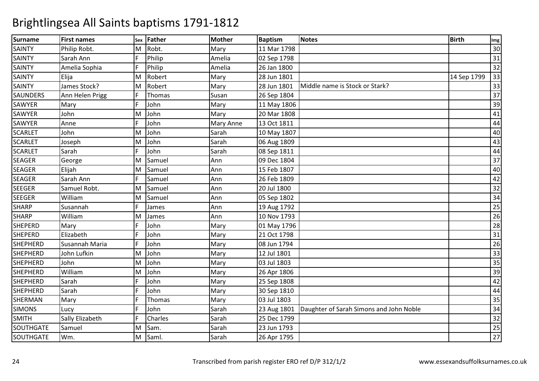| <b>Surname</b>  | <b>First names</b> | Sex | Father  | <b>Mother</b> | <b>Baptism</b> | <b>Notes</b>                            | <b>Birth</b> | Img             |
|-----------------|--------------------|-----|---------|---------------|----------------|-----------------------------------------|--------------|-----------------|
| <b>SAINTY</b>   | Philip Robt.       | M   | Robt.   | Mary          | 11 Mar 1798    |                                         |              | 30              |
| <b>SAINTY</b>   | Sarah Ann          | F   | Philip  | Amelia        | 02 Sep 1798    |                                         |              | 31              |
| <b>SAINTY</b>   | Amelia Sophia      | Ë   | Philip  | Amelia        | 26 Jan 1800    |                                         |              | 32              |
| <b>SAINTY</b>   | Elija              | M   | Robert  | Mary          | 28 Jun 1801    |                                         | 14 Sep 1799  | 33              |
| <b>SAINTY</b>   | James Stock?       | M   | Robert  | Mary          | 28 Jun 1801    | Middle name is Stock or Stark?          |              | 33              |
| <b>SAUNDERS</b> | Ann Helen Prigg    | F   | Thomas  | Susan         | 26 Sep 1804    |                                         |              | 37              |
| <b>SAWYER</b>   | Mary               | F   | John    | Mary          | 11 May 1806    |                                         |              | 39              |
| <b>SAWYER</b>   | John               | M   | John    | Mary          | 20 Mar 1808    |                                         |              | 41              |
| <b>SAWYER</b>   | Anne               | F   | John    | Mary Anne     | 13 Oct 1811    |                                         |              | 44              |
| <b>SCARLET</b>  | John               | M   | John    | Sarah         | 10 May 1807    |                                         |              | 40              |
| <b>SCARLET</b>  | Joseph             | M   | John    | Sarah         | 06 Aug 1809    |                                         |              | 43              |
| <b>SCARLET</b>  | Sarah              | F   | John    | Sarah         | 08 Sep 1811    |                                         |              | 44              |
| <b>SEAGER</b>   | George             | M   | Samuel  | Ann           | 09 Dec 1804    |                                         |              | 37              |
| <b>SEAGER</b>   | Elijah             | M   | Samuel  | Ann           | 15 Feb 1807    |                                         |              | $\overline{40}$ |
| <b>SEAGER</b>   | Sarah Ann          | F   | Samuel  | Ann           | 26 Feb 1809    |                                         |              | 42              |
| <b>SEEGER</b>   | Samuel Robt.       | M   | Samuel  | Ann           | 20 Jul 1800    |                                         |              | $\overline{32}$ |
| <b>SEEGER</b>   | William            | M   | Samuel  | Ann           | 05 Sep 1802    |                                         |              | $\overline{34}$ |
| <b>SHARP</b>    | Susannah           | E   | James   | Ann           | 19 Aug 1792    |                                         |              | 25              |
| <b>SHARP</b>    | William            | M   | James   | Ann           | 10 Nov 1793    |                                         |              | 26              |
| <b>SHEPERD</b>  | Mary               | F   | John    | Mary          | 01 May 1796    |                                         |              | $\overline{28}$ |
| <b>SHEPERD</b>  | Elizabeth          | E   | John    | Mary          | 21 Oct 1798    |                                         |              | 31              |
| SHEPHERD        | Susannah Maria     | E   | John    | Mary          | 08 Jun 1794    |                                         |              | 26              |
| <b>SHEPHERD</b> | John Lufkin        | M   | John    | Mary          | 12 Jul 1801    |                                         |              | 33              |
| <b>SHEPHERD</b> | John               | M   | John    | Mary          | 03 Jul 1803    |                                         |              | 35              |
| <b>SHEPHERD</b> | William            | M   | John    | Mary          | 26 Apr 1806    |                                         |              | 39              |
| <b>SHEPHERD</b> | Sarah              | F   | John    | Mary          | 25 Sep 1808    |                                         |              | 42              |
| <b>SHEPHERD</b> | Sarah              | E   | John    | Mary          | 30 Sep 1810    |                                         |              | 44              |
| SHERMAN         | Mary               | F   | Thomas  | Mary          | 03 Jul 1803    |                                         |              | $\overline{35}$ |
| <b>SIMONS</b>   | Lucy               | F   | John    | Sarah         | 23 Aug 1801    | Daughter of Sarah Simons and John Noble |              | 34              |
| <b>SMITH</b>    | Sally Elizabeth    | F   | Charles | Sarah         | 25 Dec 1799    |                                         |              | 32              |
| SOUTHGATE       | Samuel             | M   | Sam.    | Sarah         | 23 Jun 1793    |                                         |              | $\overline{25}$ |
| SOUTHGATE       | Wm.                | M   | Saml.   | Sarah         | 26 Apr 1795    |                                         |              | $\overline{27}$ |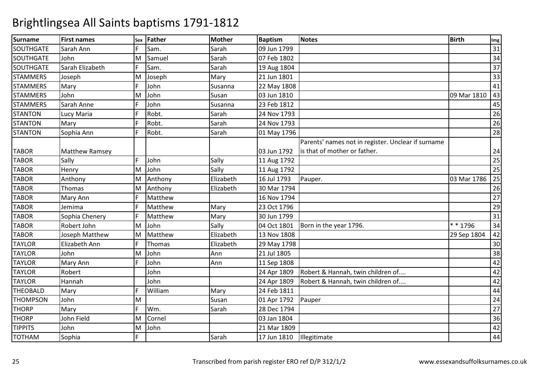| <b>Surname</b>   | <b>First names</b>    | <b>Sex</b> | Father  | <b>Mother</b> | <b>Baptism</b> | <b>Notes</b>                                       | <b>Birth</b> | Img             |
|------------------|-----------------------|------------|---------|---------------|----------------|----------------------------------------------------|--------------|-----------------|
| <b>SOUTHGATE</b> | Sarah Ann             | F.         | Sam.    | Sarah         | 09 Jun 1799    |                                                    |              | 31              |
| SOUTHGATE        | John                  | M          | Samuel  | Sarah         | 07 Feb 1802    |                                                    |              | 34              |
| SOUTHGATE        | Sarah Elizabeth       |            | Sam.    | Sarah         | 19 Aug 1804    |                                                    |              | 37              |
| <b>STAMMERS</b>  | Joseph                | M          | Joseph  | Mary          | 21 Jun 1801    |                                                    |              | 33              |
| <b>STAMMERS</b>  | Mary                  | F          | John    | Susanna       | 22 May 1808    |                                                    |              | 41              |
| <b>STAMMERS</b>  | John                  | M          | John    | Susan         | 03 Jun 1810    |                                                    | 09 Mar 1810  | 43              |
| <b>STAMMERS</b>  | Sarah Anne            | F          | John    | Susanna       | 23 Feb 1812    |                                                    |              | 45              |
| <b>STANTON</b>   | Lucy Maria            | F          | Robt.   | Sarah         | 24 Nov 1793    |                                                    |              | 26              |
| <b>STANTON</b>   | Mary                  | F          | Robt.   | Sarah         | 24 Nov 1793    |                                                    |              | 26              |
| <b>STANTON</b>   | Sophia Ann            | F          | Robt.   | Sarah         | 01 May 1796    |                                                    |              | 28              |
|                  |                       |            |         |               |                | Parents' names not in register. Unclear if surname |              |                 |
| <b>TABOR</b>     | <b>Matthew Ramsey</b> |            |         |               | 03 Jun 1792    | is that of mother or father.                       |              | 24              |
| <b>TABOR</b>     | Sally                 | F          | John    | Sally         | 11 Aug 1792    |                                                    |              | 25              |
| <b>TABOR</b>     | Henry                 | M          | John    | Sally         | 11 Aug 1792    |                                                    |              | 25              |
| <b>TABOR</b>     | Anthony               | M          | Anthony | Elizabeth     | 16 Jul 1793    | Pauper.                                            | 03 Mar 1786  | 25              |
| <b>TABOR</b>     | Thomas                | M          | Anthony | Elizabeth     | 30 Mar 1794    |                                                    |              | 26              |
| <b>TABOR</b>     | Mary Ann              | F.         | Matthew |               | 16 Nov 1794    |                                                    |              | 27              |
| <b>TABOR</b>     | Jemima                | F.         | Matthew | Mary          | 23 Oct 1796    |                                                    |              | 29              |
| <b>TABOR</b>     | Sophia Chenery        |            | Matthew | Mary          | 30 Jun 1799    |                                                    |              | 31              |
| <b>TABOR</b>     | Robert John           | M          | John    | Sally         | 04 Oct 1801    | Born in the year 1796.                             | * * 1796     | $\overline{34}$ |
| <b>TABOR</b>     | Joseph Matthew        | M          | Matthew | Elizabeth     | 13 Nov 1808    |                                                    | 29 Sep 1804  | 42              |
| <b>TAYLOR</b>    | Elizabeth Ann         | F.         | Thomas  | Elizabeth     | 29 May 1798    |                                                    |              | $30\,$          |
| <b>TAYLOR</b>    | John                  | M          | John    | Ann           | 21 Jul 1805    |                                                    |              | 38              |
| <b>TAYLOR</b>    | Mary Ann              |            | John    | Ann           | 11 Sep 1808    |                                                    |              | 42              |
| <b>TAYLOR</b>    | Robert                |            | John    |               | 24 Apr 1809    | Robert & Hannah, twin children of                  |              | 42              |
| <b>TAYLOR</b>    | Hannah                |            | John    |               | 24 Apr 1809    | Robert & Hannah, twin children of                  |              | 42              |
| <b>THEOBALD</b>  | Mary                  | F          | William | Mary          | 24 Feb 1811    |                                                    |              | 44              |
| <b>THOMPSON</b>  | John                  | M          |         | Susan         | 01 Apr 1792    | Pauper                                             |              | 24              |
| <b>THORP</b>     | Mary                  |            | Wm.     | Sarah         | 28 Dec 1794    |                                                    |              | $\overline{27}$ |
| <b>THORP</b>     | John Field            | M          | Cornel  |               | 03 Jan 1804    |                                                    |              | 36              |
| <b>TIPPITS</b>   | John                  | M          | John    |               | 21 Mar 1809    |                                                    |              | 42              |
| <b>TOTHAM</b>    | Sophia                | F.         |         | Sarah         | 17 Jun 1810    | Illegitimate                                       |              | 44              |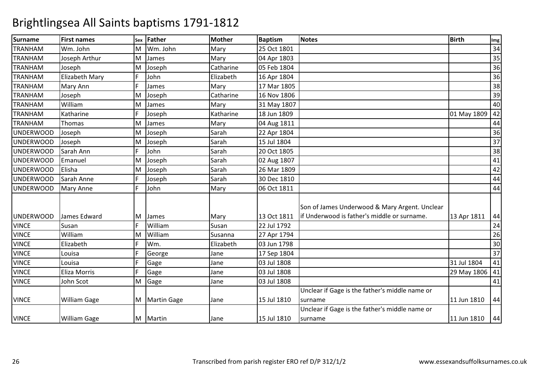| <b>Surname</b>   | <b>First names</b>  | Sex | Father        | <b>Mother</b> | <b>Baptism</b> | <b>Notes</b>                                   | <b>Birth</b>     | Img             |
|------------------|---------------------|-----|---------------|---------------|----------------|------------------------------------------------|------------------|-----------------|
| <b>TRANHAM</b>   | Wm. John            | M   | Wm. John      | Mary          | 25 Oct 1801    |                                                |                  | 34              |
| <b>TRANHAM</b>   | Joseph Arthur       | M   | James         | Mary          | 04 Apr 1803    |                                                |                  | $\overline{35}$ |
| <b>TRANHAM</b>   | Joseph              | M   | Joseph        | Catharine     | 05 Feb 1804    |                                                |                  | 36              |
| <b>TRANHAM</b>   | Elizabeth Mary      | F.  | John          | Elizabeth     | 16 Apr 1804    |                                                |                  | 36              |
| <b>TRANHAM</b>   | Mary Ann            |     | James         | Mary          | 17 Mar 1805    |                                                |                  | 38              |
| <b>TRANHAM</b>   | Joseph              | M   | Joseph        | Catharine     | 16 Nov 1806    |                                                |                  | 39              |
| <b>TRANHAM</b>   | William             | M   | James         | Mary          | 31 May 1807    |                                                |                  | 40              |
| <b>TRANHAM</b>   | Katharine           | F.  | Joseph        | Katharine     | 18 Jun 1809    |                                                | 01 May 1809      | 42              |
| <b>TRANHAM</b>   | Thomas              | M   | James         | Mary          | 04 Aug 1811    |                                                |                  | 44              |
| <b>UNDERWOOD</b> | Joseph              | M   | Joseph        | Sarah         | 22 Apr 1804    |                                                |                  | 36              |
| <b>UNDERWOOD</b> | Joseph              | M   | Joseph        | Sarah         | 15 Jul 1804    |                                                |                  | 37              |
| <b>UNDERWOOD</b> | Sarah Ann           | F.  | John          | Sarah         | 20 Oct 1805    |                                                |                  | 38              |
| <b>UNDERWOOD</b> | Emanuel             | M   | Joseph        | Sarah         | 02 Aug 1807    |                                                |                  | 41              |
| <b>UNDERWOOD</b> | Elisha              | M   | Joseph        | Sarah         | 26 Mar 1809    |                                                |                  | 42              |
| <b>UNDERWOOD</b> | Sarah Anne          | F.  | Joseph        | Sarah         | 30 Dec 1810    |                                                |                  | 44              |
| <b>UNDERWOOD</b> | <b>Mary Anne</b>    | F   | John          | Mary          | 06 Oct 1811    |                                                |                  | 44              |
|                  |                     |     |               |               |                |                                                |                  |                 |
|                  |                     |     |               |               |                | Son of James Underwood & Mary Argent. Unclear  |                  |                 |
| <b>UNDERWOOD</b> | James Edward        | M   | James         | Mary          | 13 Oct 1811    | lif Underwood is father's middle or surname.   | 13 Apr 1811      | 44              |
| <b>VINCE</b>     | Susan               | F.  | William       | Susan         | 22 Jul 1792    |                                                |                  | 24              |
| <b>VINCE</b>     | William             | M   | William       | Susanna       | 27 Apr 1794    |                                                |                  | 26              |
| <b>VINCE</b>     | Elizabeth           | F.  | Wm.           | Elizabeth     | 03 Jun 1798    |                                                |                  | 30              |
| <b>VINCE</b>     | Louisa              | E   | George        | Jane          | 17 Sep 1804    |                                                |                  | 37              |
| <b>VINCE</b>     | Louisa              | F   | Gage          | Jane          | 03 Jul 1808    |                                                | 31 Jul 1804      | 41              |
| <b>VINCE</b>     | Eliza Morris        | F.  | Gage          | Jane          | 03 Jul 1808    |                                                | 29 May 1806   41 |                 |
| <b>VINCE</b>     | John Scot           | M   | Gage          | Jane          | 03 Jul 1808    |                                                |                  | 41              |
|                  |                     |     |               |               |                | Unclear if Gage is the father's middle name or |                  |                 |
| <b>VINCE</b>     | <b>William Gage</b> |     | M Martin Gage | Jane          | 15 Jul 1810    | surname                                        | 11 Jun 1810      | 44              |
|                  |                     |     |               |               |                | Unclear if Gage is the father's middle name or |                  |                 |
| <b>VINCE</b>     | <b>William Gage</b> |     | M Martin      | Jane          | 15 Jul 1810    | surname                                        | 11 Jun 1810      | 44              |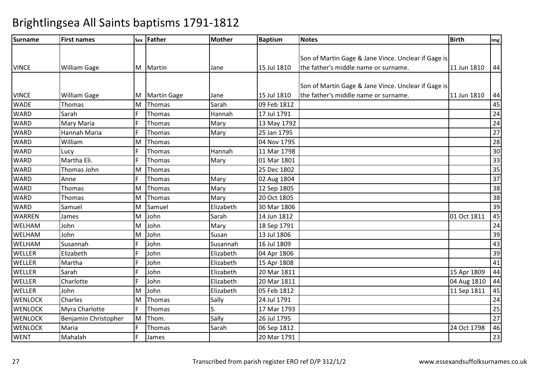| Surname        | <b>First names</b>   | Sex | Father             | <b>Mother</b> | <b>Baptism</b> | <b>Notes</b>                                        | <b>Birth</b> | Img             |
|----------------|----------------------|-----|--------------------|---------------|----------------|-----------------------------------------------------|--------------|-----------------|
|                |                      |     |                    |               |                |                                                     |              |                 |
|                |                      |     |                    |               |                | Son of Martin Gage & Jane Vince. Unclear if Gage is |              |                 |
| <b>VINCE</b>   | William Gage         | M   | Martin             | Jane          | 15 Jul 1810    | the father's middle name or surname.                | 11 Jun 1810  | 44              |
|                |                      |     |                    |               |                |                                                     |              |                 |
|                |                      |     |                    |               |                | Son of Martin Gage & Jane Vince. Unclear if Gage is |              |                 |
| <b>VINCE</b>   | <b>William Gage</b>  | M   | <b>Martin Gage</b> | Jane          | 15 Jul 1810    | the father's middle name or surname.                | 11 Jun 1810  | 44              |
| <b>WADE</b>    | Thomas               | M   | Thomas             | Sarah         | 09 Feb 1812    |                                                     |              | 45              |
| <b>WARD</b>    | Sarah                | F   | Thomas             | Hannah        | 17 Jul 1791    |                                                     |              | 24              |
| <b>WARD</b>    | Mary Maria           | F   | Thomas             | Mary          | 13 May 1792    |                                                     |              | $\overline{24}$ |
| <b>WARD</b>    | Hannah Maria         | F   | Thomas             | Mary          | 25 Jan 1795    |                                                     |              | 27              |
| <b>WARD</b>    | William              | M   | Thomas             |               | 04 Nov 1795    |                                                     |              | 28              |
| <b>WARD</b>    | Lucy                 | F   | Thomas             | Hannah        | 11 Mar 1798    |                                                     |              | 30              |
| <b>WARD</b>    | Martha Eli.          | F   | Thomas             | Mary          | 01 Mar 1801    |                                                     |              | 33              |
| <b>WARD</b>    | Thomas John          | M   | Thomas             |               | 25 Dec 1802    |                                                     |              | 35              |
| <b>WARD</b>    | Anne                 |     | Thomas             | Mary          | 02 Aug 1804    |                                                     |              | $\overline{37}$ |
| <b>WARD</b>    | Thomas               | M   | Thomas             | Mary          | 12 Sep 1805    |                                                     |              | $\overline{38}$ |
| <b>WARD</b>    | Thomas               | M   | Thomas             | Mary          | 20 Oct 1805    |                                                     |              | $\overline{38}$ |
| <b>WARD</b>    | Samuel               | M   | Samuel             | Elizabeth     | 30 Mar 1806    |                                                     |              | 39              |
| <b>WARREN</b>  | James                | M   | John               | Sarah         | 14 Jun 1812    |                                                     | 01 Oct 1811  | 45              |
| WELHAM         | John                 | M   | John               | Mary          | 18 Sep 1791    |                                                     |              | 24              |
| <b>WELHAM</b>  | John                 | M   | John               | Susan         | 13 Jul 1806    |                                                     |              | 39              |
| WELHAM         | Susannah             | F   | John               | Susannah      | 16 Jul 1809    |                                                     |              | 43              |
| <b>WELLER</b>  | Elizabeth            |     | John               | Elizabeth     | 04 Apr 1806    |                                                     |              | 39              |
| <b>WELLER</b>  | Martha               | E   | John               | Elizabeth     | 15 Apr 1808    |                                                     |              | 41              |
| WELLER         | Sarah                | F   | John               | Elizabeth     | 20 Mar 1811    |                                                     | 15 Apr 1809  | 44              |
| <b>WELLER</b>  | Charlotte            | F   | John               | Elizabeth     | 20 Mar 1811    |                                                     | 04 Aug 1810  | 44              |
| <b>WELLER</b>  | John                 | M   | John               | Elizabeth     | 05 Feb 1812    |                                                     | 11 Sep 1811  | 45              |
| <b>WENLOCK</b> | Charles              | M   | Thomas             | Sally         | 24 Jul 1791    |                                                     |              | 24              |
| <b>WENLOCK</b> | Myra Charlotte       | F   | Thomas             | S.            | 17 Mar 1793    |                                                     |              | 25              |
| <b>WENLOCK</b> | Benjamin Christopher | M   | Thom.              | Sally         | 26 Jul 1795    |                                                     |              | 27              |
| <b>WENLOCK</b> | Maria                |     | Thomas             | Sarah         | 06 Sep 1812    |                                                     | 24 Oct 1798  | 46              |
| <b>WENT</b>    | Mahalah              | F   | James              |               | 20 Mar 1791    |                                                     |              | 23              |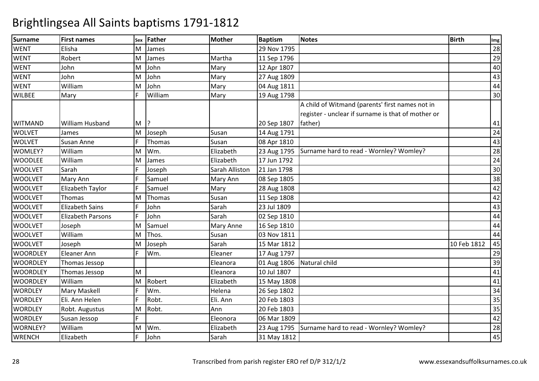| <b>Surname</b>  | <b>First names</b>       | Sex    | <b>Father</b> | <b>Mother</b>  | <b>Baptism</b> | Notes                                                                                                 | <b>Birth</b> | Img             |
|-----------------|--------------------------|--------|---------------|----------------|----------------|-------------------------------------------------------------------------------------------------------|--------------|-----------------|
| <b>WENT</b>     | Elisha                   | M      | James         |                | 29 Nov 1795    |                                                                                                       |              | 28              |
| <b>WENT</b>     | Robert                   | M      | James         | Martha         | 11 Sep 1796    |                                                                                                       |              | 29              |
| <b>WENT</b>     | John                     | M      | John          | Mary           | 12 Apr 1807    |                                                                                                       |              | 40              |
| <b>WENT</b>     | John                     | M      | John          | Mary           | 27 Aug 1809    |                                                                                                       |              | 43              |
| <b>WENT</b>     | William                  | M      | John          | Mary           | 04 Aug 1811    |                                                                                                       |              | 44              |
| <b>WILBEE</b>   | Mary                     | F      | William       | Mary           | 19 Aug 1798    |                                                                                                       |              | 30              |
|                 |                          |        |               |                |                | A child of Witmand (parents' first names not in<br>register - unclear if surname is that of mother or |              |                 |
| <b>WITMAND</b>  | William Husband          | $M$  ? |               |                | 20 Sep 1807    | father)                                                                                               |              | 41              |
| <b>WOLVET</b>   | James                    | M      | Joseph        | Susan          | 14 Aug 1791    |                                                                                                       |              | 24              |
| <b>WOLVET</b>   | Susan Anne               | F      | Thomas        | Susan          | 08 Apr 1810    |                                                                                                       |              | 43              |
| WOMLEY?         | William                  | M      | Wm.           | Elizabeth      | 23 Aug 1795    | Surname hard to read - Wornley? Womley?                                                               |              | $\overline{28}$ |
| <b>WOODLEE</b>  | William                  | M      | James         | Elizabeth      | 17 Jun 1792    |                                                                                                       |              | $\overline{24}$ |
| <b>WOOLVET</b>  | Sarah                    | E      | Joseph        | Sarah Alliston | 21 Jan 1798    |                                                                                                       |              | 30              |
| <b>WOOLVET</b>  | Mary Ann                 | E      | Samuel        | Mary Ann       | 08 Sep 1805    |                                                                                                       |              | 38              |
| <b>WOOLVET</b>  | Elizabeth Taylor         |        | Samuel        | Mary           | 28 Aug 1808    |                                                                                                       |              | 42              |
| <b>WOOLVET</b>  | Thomas                   | M      | Thomas        | Susan          | 11 Sep 1808    |                                                                                                       |              | 42              |
| <b>WOOLVET</b>  | <b>Elizabeth Sains</b>   | F      | John          | Sarah          | 23 Jul 1809    |                                                                                                       |              | 43              |
| <b>WOOLVET</b>  | <b>Elizabeth Parsons</b> | Ē      | John          | Sarah          | 02 Sep 1810    |                                                                                                       |              | 44              |
| <b>WOOLVET</b>  | Joseph                   | M      | Samuel        | Mary Anne      | 16 Sep 1810    |                                                                                                       |              | 44              |
| <b>WOOLVET</b>  | William                  | M      | Thos.         | Susan          | 03 Nov 1811    |                                                                                                       |              | 44              |
| <b>WOOLVET</b>  | Joseph                   | M      | Joseph        | Sarah          | 15 Mar 1812    |                                                                                                       | 10 Feb 1812  | 45              |
| <b>WOORDLEY</b> | <b>Eleaner Ann</b>       |        | Wm.           | Eleaner        | 17 Aug 1797    |                                                                                                       |              | 29              |
| <b>WOORDLEY</b> | Thomas Jessop            |        |               | Eleanora       | 01 Aug 1806    | Natural child                                                                                         |              | 39              |
| <b>WOORDLEY</b> | Thomas Jessop            | M      |               | Eleanora       | 10 Jul 1807    |                                                                                                       |              | 41              |
| <b>WOORDLEY</b> | William                  | M      | Robert        | Elizabeth      | 15 May 1808    |                                                                                                       |              | 41              |
| <b>WORDLEY</b>  | Mary Maskell             | F      | Wm.           | Helena         | 26 Sep 1802    |                                                                                                       |              | 34              |
| <b>WORDLEY</b>  | Eli. Ann Helen           | F      | Robt.         | Eli. Ann       | 20 Feb 1803    |                                                                                                       |              | $\overline{35}$ |
| <b>WORDLEY</b>  | Robt. Augustus           | M      | Robt.         | Ann            | 20 Feb 1803    |                                                                                                       |              | $\overline{35}$ |
| <b>WORDLEY</b>  | Susan Jessop             | F      |               | Eleonora       | 06 Mar 1809    |                                                                                                       |              | 42              |
| WORNLEY?        | William                  | M      | Wm.           | Elizabeth      | 23 Aug 1795    | Surname hard to read - Wornley? Womley?                                                               |              | 28              |
| <b>WRENCH</b>   | Elizabeth                | F      | John          | Sarah          | 31 May 1812    |                                                                                                       |              | 45              |